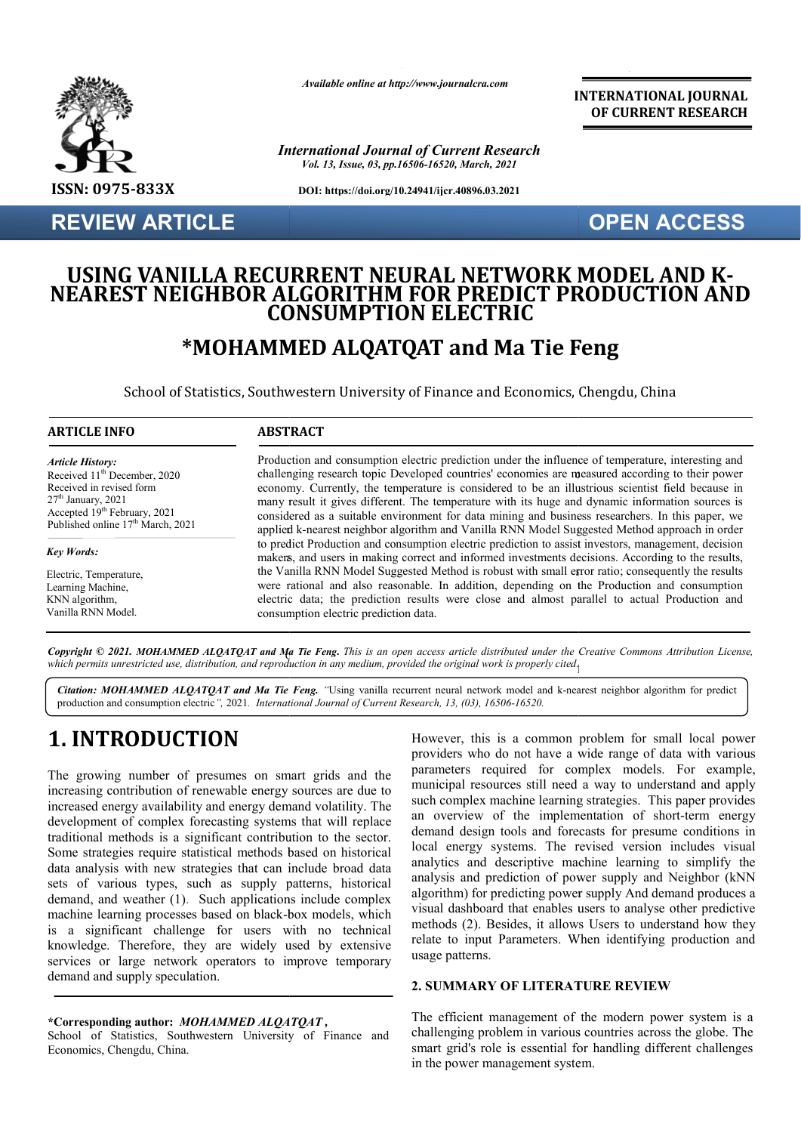

**REVIEW ARTICLE**

*Available online at http://www.journalcra.com*

*International Journal of Current Research Vol. 13, Issue, 03, pp.16506-16520, March, 2021*

**DOI: https://doi.org/10.24941/ijcr.40896.03.2021**

**INTERNATIONAL JOURNAL OF CURRENT RESEARCH**

### **OPEN ACCESS**

### **USING VANILLA RECURRENT NEURAL NETWORK MODEL AND K USING VANILLA RECURRENT NEURAL NETWORK MODEL AND K-<br>NEAREST NEIGHBOR <u>ALGORITHM FOR PREDIC</u>T PRODUCTION AND CONSUMPTION ELECTRIC**

## **\*MOHAMMED ALQATQAT and Ma Tie Feng**

School of Statistics, Southwestern University of Finance and Economics, Chengdu, China

#### **ARTICLE INFO ABSTRACT**

*Article History: Article History:* Received  $11<sup>th</sup>$  December, 2020 Received in revised form Received in revised form  $27<sup>th</sup>$  January, 2021 Accepted  $19<sup>th</sup>$  February, 2021 Published online 17<sup>th</sup> March, 2021  $27<sup>th</sup>$  January, 2021 Accepted 19<sup>th</sup> February, 2021

*Key Words: Key Words:* Electric, Temperature, Elearning Machine, Ecaning *wachm*,<br>KNN algorithm, Vanilla RNN Model.

applied k-nearest neighbor algorithm and Vanilla RNN Model Suggested Method approach in order a makers, and users in making correct and informed investments decisions. According to the results, Production and consumption electric prediction under the influence of temperature, interesting and challenging research topic Developed countries' economies are measured according to their power economy. Currently, the temperature is considered to be an illustrious scientist field because in many result it gives different. The temperature with its huge and dynamic information sources is considered as a suitable environment for data mining and business researchers. In this paper, we to predict Production and consumption electric prediction to assist investors, management, decision the Vanilla RNN Model Suggested Method is robust with small error ratio; consequently the results were rational and also reasonable. In addition, depending on the Production and consumption electric data; the prediction results were close and almost parallel to actual Production and consumption electric prediction data. makers, and users in making correct and informed investments decisions. According to the results, the Vanilla RNN Model Suggested Method is robust with small error ratio; consequently the results were rational and also rea

Copyright © 2021. MOHAMMED ALQATQAT and Ma Tie Feng. This is an open access article distributed under the Creative Commons Attribution License, which permits unrestricted use, distribution, and reproduction in any medium, provided the original work is properly cited<sub>.]</sub>

Citation: MOHAMMED ALQATQAT and Ma Tie Feng. "Using vanilla recurrent neural network model and k-nearest neighbor algorithm for predict production and consumption electric*",* 2021*. International Journal of Current Research, 13, (0 (03), 16506-16520.*

# **1. INTRODUCTION**

The growing number of presumes on smart grids and the increasing contribution of renewable energy sources are due to increased energy availability and energy demand volatility. The development of complex forecasting systems that will replace traditional methods is a significant contribution to the sector. Some strategies require statistical methods based on historical data analysis with new strategies that can include broad data sets of various types, such as supply patterns, historical demand, and weather (1). Such applications include complex machine learning processes based on black-box models, which is a significant challenge for users with no technical knowledge. Therefore, they are widely used by extensive services or large network operators to improve temporary demand and supply speculation. thods is a significant contribution to the sector.<br>
es require statistical methods based on historical<br>
with new strategies that can include broad data<br>
us types, such as supply patterns, historical<br>
weather (1). Such appl

#### **\*Corresponding author:** *MOHAMMED ALQATQAT ,*

School of Statistics, Southwestern University of Finance and Economics, Chengdu, China.

However, this is a common problem for small local power providers who do not have a wide range of data with various parameters required for complex models. For example, municipal resources still need a way to understand and apply such complex machine learning strategies. This paper provides an overview of the implementation of short-term energy demand design tools and forecasts for presume conditions in local energy systems. The revised version includes visual analytics and descriptive machine learning to simplify the analysis and prediction of power supply and Neighbor (kNN algorithm) for predicting power supply And demand produces a visual dashboard that enables users to analyse other predictive methods (2). Besides, it allows Users to understand how they relate to input Parameters. When identifying production and usage patterns. is a common problem for small local power<br>of do not have a wide range of data with various<br>equired for complex models. For example,<br>burces still need a way to understand and apply<br>machine learning strategies. This paper pr nalytics and descriptive machine learning to nalysis and prediction of power supply and Negorithm) for predicting power supply And dema<br>sual dashboard that enables users to analyse ot eethods (2). Besides, it allows Users **INTERNATIONAL COURNAL THE CONSULTERATION AND CONSULTERATION AND CONSULTERATION AND CONSULTERATION AND CONSULTERATION AND LETTER CONSULTER CONSULTER CONSULTER CONSULTER CONSULTER CONSULTER CONSULTER CONSULTER CONSULTER CO** 

#### **2. SUMMARY OF LITERATURE REVIEW REVIEW**

The efficient management of the modern power system is a challenging problem in various countries across the globe. The smart grid's role is essential for handling different challenges in the power management system.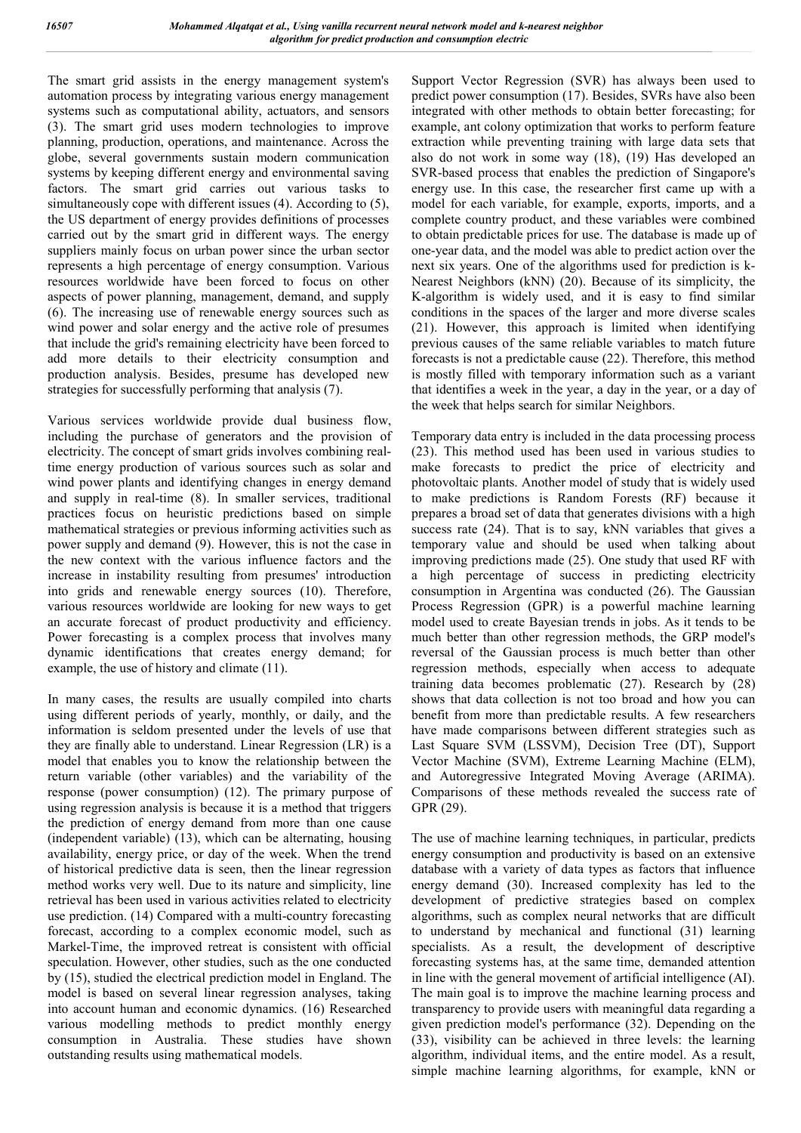The smart grid assists in the energy management system's automation process by integrating various energy management systems such as computational ability, actuators, and sensors (3). The smart grid uses modern technologies to improve planning, production, operations, and maintenance. Across the globe, several governments sustain modern communication systems by keeping different energy and environmental saving factors. The smart grid carries out various tasks to simultaneously cope with different issues (4). According to (5), the US department of energy provides definitions of processes carried out by the smart grid in different ways. The energy suppliers mainly focus on urban power since the urban sector represents a high percentage of energy consumption. Various resources worldwide have been forced to focus on other aspects of power planning, management, demand, and supply (6). The increasing use of renewable energy sources such as wind power and solar energy and the active role of presumes that include the grid's remaining electricity have been forced to add more details to their electricity consumption and production analysis. Besides, presume has developed new strategies for successfully performing that analysis (7).

Various services worldwide provide dual business flow, including the purchase of generators and the provision of electricity. The concept of smart grids involves combining realtime energy production of various sources such as solar and wind power plants and identifying changes in energy demand and supply in real-time (8). In smaller services, traditional practices focus on heuristic predictions based on simple mathematical strategies or previous informing activities such as power supply and demand (9). However, this is not the case in the new context with the various influence factors and the increase in instability resulting from presumes' introduction into grids and renewable energy sources (10). Therefore, various resources worldwide are looking for new ways to get an accurate forecast of product productivity and efficiency. Power forecasting is a complex process that involves many dynamic identifications that creates energy demand; for example, the use of history and climate (11).

In many cases, the results are usually compiled into charts using different periods of yearly, monthly, or daily, and the information is seldom presented under the levels of use that they are finally able to understand. Linear Regression (LR) is a model that enables you to know the relationship between the return variable (other variables) and the variability of the response (power consumption) (12). The primary purpose of using regression analysis is because it is a method that triggers the prediction of energy demand from more than one cause (independent variable) (13), which can be alternating, housing availability, energy price, or day of the week. When the trend of historical predictive data is seen, then the linear regression method works very well. Due to its nature and simplicity, line retrieval has been used in various activities related to electricity use prediction. (14) Compared with a multi-country forecasting forecast, according to a complex economic model, such as Markel-Time, the improved retreat is consistent with official speculation. However, other studies, such as the one conducted by (15), studied the electrical prediction model in England. The model is based on several linear regression analyses, taking into account human and economic dynamics. (16) Researched various modelling methods to predict monthly energy consumption in Australia. These studies have shown outstanding results using mathematical models.

Support Vector Regression (SVR) has always been used to predict power consumption (17). Besides, SVRs have also been integrated with other methods to obtain better forecasting; for example, ant colony optimization that works to perform feature extraction while preventing training with large data sets that also do not work in some way (18), (19) Has developed an SVR-based process that enables the prediction of Singapore's energy use. In this case, the researcher first came up with a model for each variable, for example, exports, imports, and a complete country product, and these variables were combined to obtain predictable prices for use. The database is made up of one-year data, and the model was able to predict action over the next six years. One of the algorithms used for prediction is k-Nearest Neighbors (kNN) (20). Because of its simplicity, the K-algorithm is widely used, and it is easy to find similar conditions in the spaces of the larger and more diverse scales (21). However, this approach is limited when identifying previous causes of the same reliable variables to match future forecasts is not a predictable cause (22). Therefore, this method is mostly filled with temporary information such as a variant that identifies a week in the year, a day in the year, or a day of the week that helps search for similar Neighbors.

Temporary data entry is included in the data processing process (23). This method used has been used in various studies to make forecasts to predict the price of electricity and photovoltaic plants. Another model of study that is widely used to make predictions is Random Forests (RF) because it prepares a broad set of data that generates divisions with a high success rate (24). That is to say, kNN variables that gives a temporary value and should be used when talking about improving predictions made (25). One study that used RF with a high percentage of success in predicting electricity consumption in Argentina was conducted (26). The Gaussian Process Regression (GPR) is a powerful machine learning model used to create Bayesian trends in jobs. As it tends to be much better than other regression methods, the GRP model's reversal of the Gaussian process is much better than other regression methods, especially when access to adequate training data becomes problematic (27). Research by (28) shows that data collection is not too broad and how you can benefit from more than predictable results. A few researchers have made comparisons between different strategies such as Last Square SVM (LSSVM), Decision Tree (DT), Support Vector Machine (SVM), Extreme Learning Machine (ELM), and Autoregressive Integrated Moving Average (ARIMA). Comparisons of these methods revealed the success rate of GPR (29).

The use of machine learning techniques, in particular, predicts energy consumption and productivity is based on an extensive database with a variety of data types as factors that influence energy demand (30). Increased complexity has led to the development of predictive strategies based on complex algorithms, such as complex neural networks that are difficult to understand by mechanical and functional (31) learning specialists. As a result, the development of descriptive forecasting systems has, at the same time, demanded attention in line with the general movement of artificial intelligence (AI). The main goal is to improve the machine learning process and transparency to provide users with meaningful data regarding a given prediction model's performance (32). Depending on the (33), visibility can be achieved in three levels: the learning algorithm, individual items, and the entire model. As a result, simple machine learning algorithms, for example, kNN or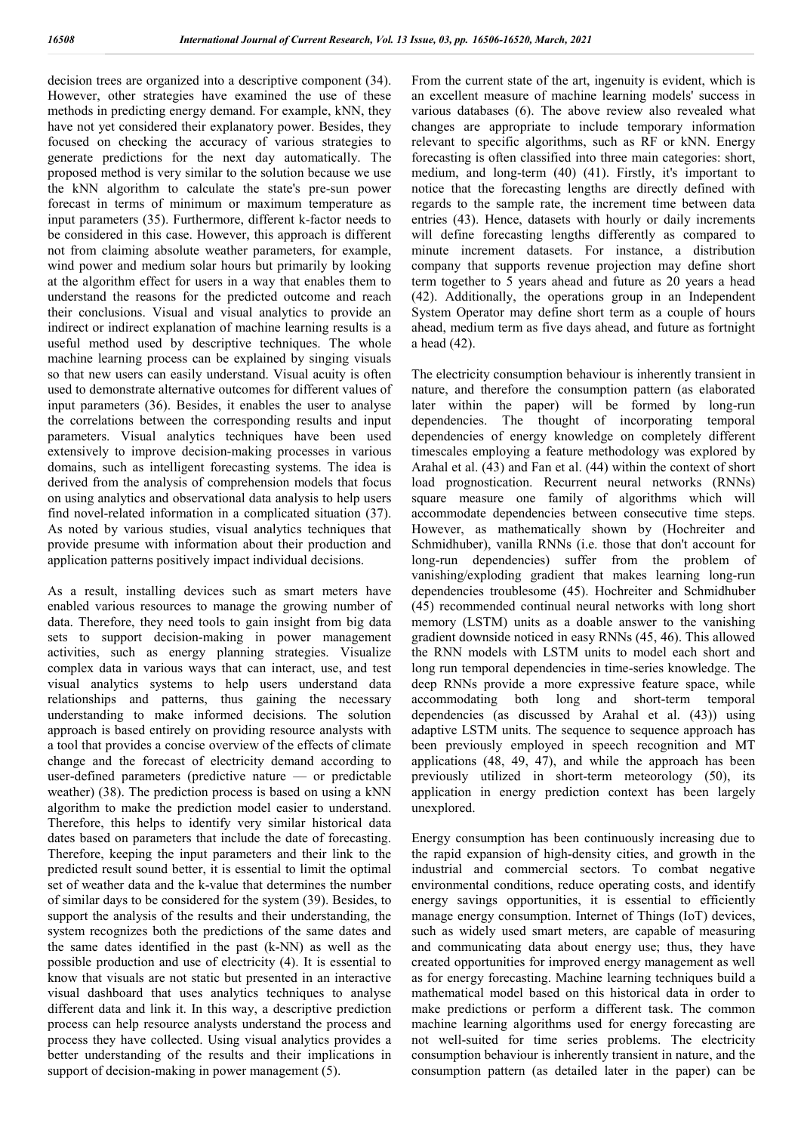decision trees are organized into a descriptive component (34). However, other strategies have examined the use of these methods in predicting energy demand. For example, kNN, they have not yet considered their explanatory power. Besides, they focused on checking the accuracy of various strategies to generate predictions for the next day automatically. The proposed method is very similar to the solution because we use the kNN algorithm to calculate the state's pre-sun power forecast in terms of minimum or maximum temperature as input parameters (35). Furthermore, different k-factor needs to be considered in this case. However, this approach is different not from claiming absolute weather parameters, for example, wind power and medium solar hours but primarily by looking at the algorithm effect for users in a way that enables them to understand the reasons for the predicted outcome and reach their conclusions. Visual and visual analytics to provide an indirect or indirect explanation of machine learning results is a useful method used by descriptive techniques. The whole machine learning process can be explained by singing visuals so that new users can easily understand. Visual acuity is often used to demonstrate alternative outcomes for different values of input parameters (36). Besides, it enables the user to analyse the correlations between the corresponding results and input parameters. Visual analytics techniques have been used extensively to improve decision-making processes in various domains, such as intelligent forecasting systems. The idea is derived from the analysis of comprehension models that focus on using analytics and observational data analysis to help users find novel-related information in a complicated situation (37). As noted by various studies, visual analytics techniques that provide presume with information about their production and application patterns positively impact individual decisions.

As a result, installing devices such as smart meters have enabled various resources to manage the growing number of data. Therefore, they need tools to gain insight from big data sets to support decision-making in power management activities, such as energy planning strategies. Visualize complex data in various ways that can interact, use, and test visual analytics systems to help users understand data relationships and patterns, thus gaining the necessary understanding to make informed decisions. The solution approach is based entirely on providing resource analysts with a tool that provides a concise overview of the effects of climate change and the forecast of electricity demand according to user-defined parameters (predictive nature — or predictable weather) (38). The prediction process is based on using a kNN algorithm to make the prediction model easier to understand. Therefore, this helps to identify very similar historical data dates based on parameters that include the date of forecasting. Therefore, keeping the input parameters and their link to the predicted result sound better, it is essential to limit the optimal set of weather data and the k-value that determines the number of similar days to be considered for the system (39). Besides, to support the analysis of the results and their understanding, the system recognizes both the predictions of the same dates and the same dates identified in the past (k-NN) as well as the possible production and use of electricity (4). It is essential to know that visuals are not static but presented in an interactive visual dashboard that uses analytics techniques to analyse different data and link it. In this way, a descriptive prediction process can help resource analysts understand the process and process they have collected. Using visual analytics provides a better understanding of the results and their implications in support of decision-making in power management  $(5)$ .

From the current state of the art, ingenuity is evident, which is an excellent measure of machine learning models' success in various databases (6). The above review also revealed what changes are appropriate to include temporary information relevant to specific algorithms, such as RF or kNN. Energy forecasting is often classified into three main categories: short, medium, and long-term (40) (41). Firstly, it's important to notice that the forecasting lengths are directly defined with regards to the sample rate, the increment time between data entries (43). Hence, datasets with hourly or daily increments will define forecasting lengths differently as compared to minute increment datasets. For instance, a distribution company that supports revenue projection may define short term together to 5 years ahead and future as 20 years a head (42). Additionally, the operations group in an Independent System Operator may define short term as a couple of hours ahead, medium term as five days ahead, and future as fortnight a head (42).

The electricity consumption behaviour is inherently transient in nature, and therefore the consumption pattern (as elaborated later within the paper) will be formed by long-run dependencies. The thought of incorporating temporal dependencies of energy knowledge on completely different timescales employing a feature methodology was explored by Arahal et al. (43) and Fan et al. (44) within the context of short load prognostication. Recurrent neural networks (RNNs) square measure one family of algorithms which will accommodate dependencies between consecutive time steps. However, as mathematically shown by (Hochreiter and Schmidhuber), vanilla RNNs (i.e. those that don't account for long-run dependencies) suffer from the problem of vanishing/exploding gradient that makes learning long-run dependencies troublesome (45). Hochreiter and Schmidhuber (45) recommended continual neural networks with long short memory (LSTM) units as a doable answer to the vanishing gradient downside noticed in easy RNNs (45, 46). This allowed the RNN models with LSTM units to model each short and long run temporal dependencies in time-series knowledge. The deep RNNs provide a more expressive feature space, while accommodating both long and short-term temporal dependencies (as discussed by Arahal et al. (43)) using adaptive LSTM units. The sequence to sequence approach has been previously employed in speech recognition and MT applications (48, 49, 47), and while the approach has been previously utilized in short-term meteorology (50), its application in energy prediction context has been largely unexplored.

Energy consumption has been continuously increasing due to the rapid expansion of high-density cities, and growth in the industrial and commercial sectors. To combat negative environmental conditions, reduce operating costs, and identify energy savings opportunities, it is essential to efficiently manage energy consumption. Internet of Things (IoT) devices, such as widely used smart meters, are capable of measuring and communicating data about energy use; thus, they have created opportunities for improved energy management as well as for energy forecasting. Machine learning techniques build a mathematical model based on this historical data in order to make predictions or perform a different task. The common machine learning algorithms used for energy forecasting are not well-suited for time series problems. The electricity consumption behaviour is inherently transient in nature, and the consumption pattern (as detailed later in the paper) can be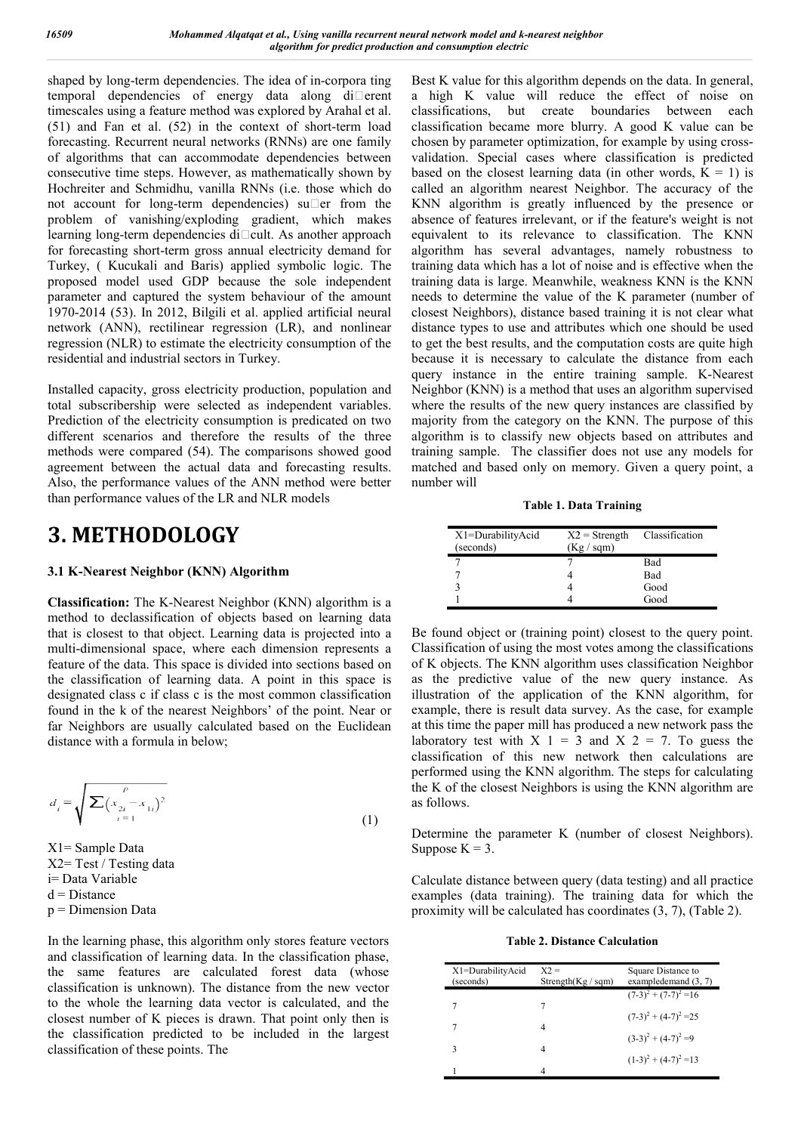shaped by long-term dependencies. The idea of in-corpora ting temporal dependencies of energy data along di□erent timescales using a feature method was explored by Arahal et al.  $(51)$  and Fan et al.  $(52)$  in the context of short-term load forecasting. Recurrent neural networks (RNNs) are one family of algorithms that can accommodate dependencies between consecutive time steps. However, as mathematically shown by Hochreiter and Schmidhu, vanilla RNNs (i.e. those which do not account for long-term dependencies) su $\square$ er from the problem of vanishing/exploding gradient, which makes learning long-term dependencies di<sup>cult</sup>. As another approach for forecasting short-term gross annual electricity demand for Turkey, ( Kucukali and Baris) applied symbolic logic. The proposed model used GDP because the sole independent parameter and captured the system behaviour of the amount 1970-2014 (53). In 2012, Bilgili et al. applied artificial neural network (ANN), rectilinear regression (LR), and nonlinear regression (NLR) to estimate the electricity consumption of the residential and industrial sectors in Turkey. ime steps. However, as mathematically shown by<br>nd Schmidhu, vanilla RNNs (i.e. those which do<br>for long-term dependencies) su $\Box$ er from the

Installed capacity, gross electricity production, population and total subscribership were selected as independent variables. Prediction of the electricity consumption is predicated on two different scenarios and therefore the results of the three methods were compared (54). The comparisons showed good agreement between the actual data and forecasting results. Also, the performance values of the ANN method were better than performance values of the LR and NLR models

# **3. METHODOLOGY**

#### **3.1 K-Nearest Neighbor (KNN) Algorithm**

**Classification:** The K-Nearest Neighbor (KNN) algorithm is a method to declassification of objects based on learning data that is closest to that object. Learning data is projected into a multi-dimensional space, where each dimension represents a feature of the data. This space is divided into sections based on the classification of learning data. A point in this space is designated class c if class c is the most common classification found in the k of the nearest Neighbors' of the point. Near or far Neighbors are usually calculated based on the Euclidean distance with a formula in below; rg long-term dependencies di $\square$ cult. As another approaching short-term gross annual electricity demand term or spectrasting short-term and capture described model used GDP because the sole independent energet and capture

$$
d_i = \sqrt{\sum_{i=1}^{p} (x_{2i} - x_{1i})^2}
$$

X1= Sample Data X2= Test / Testing data i= Data Variable  $d = Distance$  $p =$ Dimension Data

In the learning phase, this algorithm only stores feature vectors and classification of learning data. In the classification phase, the same features are calculated forest data (whose classification is unknown). The distance from the new vector to the whole the learning data vector is calculated, and the closest number of K pieces is drawn. That point only then is the classification predicted to be included in the largest classification of these points. The

meter on depends on the base of microspon into Best K value for this algorithm depends on the data in the state of the data in the state of the data in the state of the data in the content of the state of the state of the a high K value will reduce the effect of noise on classifications, but create boundaries between each classification became more blurry. A good K value can be chosen by parameter optimization, for example by using cross validation. Special cases where classification is predicted based on the closest learning data (in other words,  $K = 1$ ) is validation. Special cases where classification is predicted based on the closest learning data (in other words,  $K = 1$ ) is called an algorithm nearest Neighbor. The accuracy of the KNN algorithm is greatly influenced by the presence or KNN algorithm is greatly influenced by the presence or absence of features irrelevant, or if the feature's weight is not equivalent to its relevance to classification. The KNN algorithm has several advantages, namely robustness to training data which has a lot of noise and is effective when the equivalent to its relevance to classification. The KNN algorithm has several advantages, namely robustness to training data which has a lot of noise and is effective when the training data is large. Meanwhile, weakness KNN needs to determine the value of the K parameter (number of closest Neighbors), distance based training it is not clear what distance types to use and attributes which one should be used to get the best results, and the computation costs are quite high because it is necessary to calculate the distance from each needs to determine the value of the K parameter (number of closest Neighbors), distance based training it is not clear what distance types to use and attributes which one should be used to get the best results, and the com Neighbor (KNN) is a method that uses an algorithm supervised where the results of the new query instances are classified by majority from the category on the KNN. The purpose of this algorithm is to classify new objects based on attributes and training sample. The classifier does not use any models for matched and based only on memory. Given a query point, a number will Best K value for this algorithm depends on the data. In general, but create boundaries between each<br>became more blurry. A good K value can be<br>ameter optimization, for example by using crossthe results of the new query instances are classified by<br>ty from the category on the KNN. The purpose of this<br>hm is to classify new objects based on attributes and<br>g sample. The classifier does not use any models for<br>d an

**Table 1. Data Training**

| X1=DurabilityAcid<br>(seconds) | $X2 =$ Strength<br>(Kg / sgm) | Classification |
|--------------------------------|-------------------------------|----------------|
|                                |                               | Bad            |
|                                |                               | <b>Bad</b>     |
|                                |                               | Good           |
|                                |                               | Good           |

Be found object or (training point) closest to the query point. Classification of using the most votes among the classifications of K objects. The KNN algorithm uses classification Neighbor as the predictive value of the new query instance. As illustration of the application of the KNN algorithm, for example, there is result data survey. As the case, for example at this time the paper mill has produced a new network pass the laboratory test with  $X$  1 = 3 and  $X$  2 = 7. To guess the classification of this new network then calculations are performed using the KNN algorithm. The steps for calculating the K of the closest Neighbors is using the KNN algorithm are as follows. Be found object or (training point) closest to the query polassification of using the most votes among the classification of K objects. The KNN algorithm uses classification Neiglas the predictive value of the new query in with  $X = 3$  and  $X = 2 = 7$ . To guess the f this new network then calculations are the KNN algorithm. The steps for calculating sest Neighbors is using the KNN algorithm are

Determine the parameter K (number of closest Neighbors). Suppose  $K = 3$ .

Calculate distance between query (data testing) and all practice examples (data training). The training data for which the proximity will be calculated has coordinates  $(3, 7)$ ,  $(Table 2)$ . parameter K (number of closest Neighbor<br>ce between query (data testing) and all practi<br>training). The training data for which t<br>e calculated has coordinates (3, 7), (Table 2).

**Table 2. Distance Calculation**

| X1=DurabilityAcid | $X2 =$                | Square Distance to       |
|-------------------|-----------------------|--------------------------|
| (seconds)         | Strength $(Kg / sgm)$ | exampledemand $(3, 7)$   |
|                   |                       | $(7-3)^2 + (7-7)^2 = 16$ |
|                   |                       |                          |
|                   | 4                     | $(7-3)^2 + (4-7)^2 = 25$ |
|                   |                       | $(3-3)^2 + (4-7)^2 = 9$  |
| ٩                 | 4                     |                          |
|                   |                       | $(1-3)^2 + (4-7)^2 = 13$ |
|                   |                       |                          |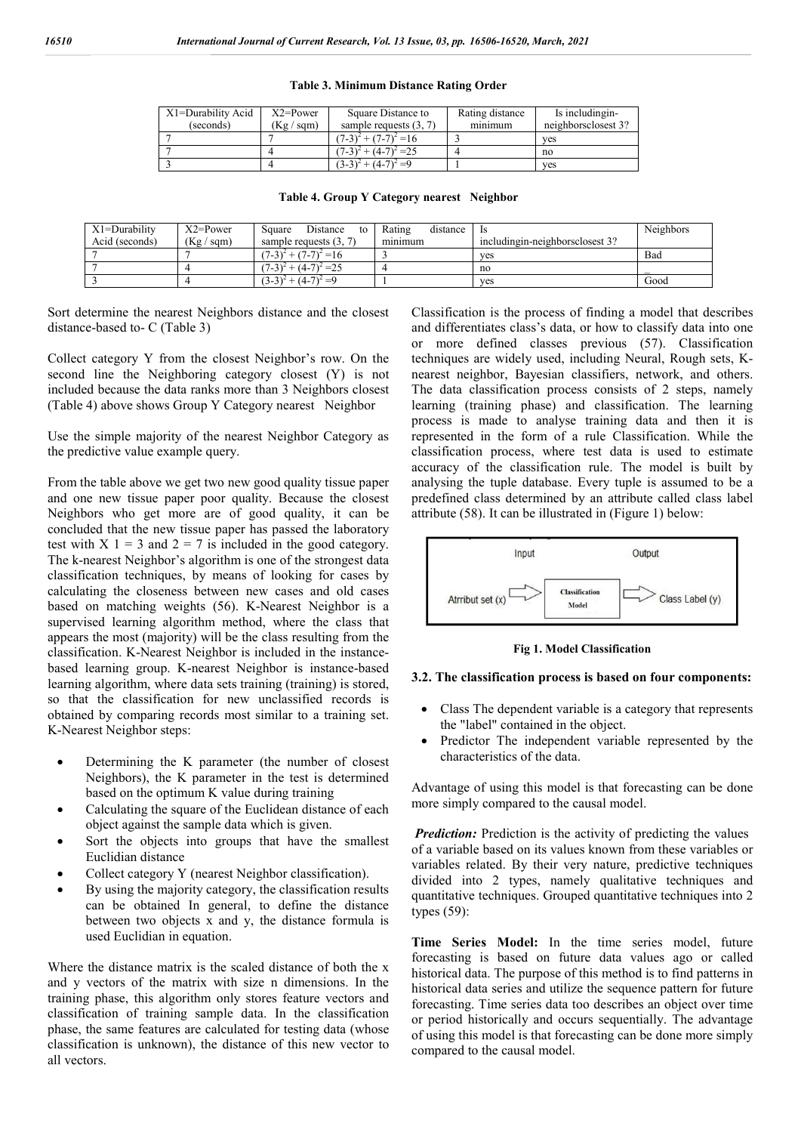| Table 3. Minimum Distance Rating Order |
|----------------------------------------|
|----------------------------------------|

| X1=Durability Acid | $X2 = Power$ | Square Distance to                     | Rating distance | Is including in-    |
|--------------------|--------------|----------------------------------------|-----------------|---------------------|
| (seconds)          | (Kg / sgm)   | sample requests $(3, 7)$               | minimum         | neighborsclosest 3? |
|                    |              | $(7-3)^2$ + $(7-7)^2$ = 16             |                 | ves                 |
|                    |              | $(7-3)^2$ + $(4-7)^2$ = 25             |                 | no                  |
|                    |              | $(3-3)^2$ + (4-7)<br>$\bigwedge^2 = 0$ |                 | ves                 |

|  |  | Table 4. Group Y Category nearest Neighbor |
|--|--|--------------------------------------------|
|  |  |                                            |

| $X1 = Durability$ | $X2 = Power$  | Distance<br>Square<br>to   | Rating<br>distance | - Is                              | <b>Neighbors</b> |
|-------------------|---------------|----------------------------|--------------------|-----------------------------------|------------------|
| Acid (seconds)    | (Kg /<br>sam) | sample requests $(3, 7)$   | minimum            | including in-neighbors closest 3? |                  |
|                   |               | $(7-3)^2$ + $(7-7)^2$ = 16 |                    | ves                               | Bad              |
|                   |               | $(7-3)^2 + (4-7)^2 = 25$   |                    | no                                |                  |
|                   |               | $(3-3)^2 + (4-7)^2 = 9$    |                    | ves                               | Good             |

Sort determine the nearest Neighbors distance and the closest distance-based to- C (Table 3)

Collect category Y from the closest Neighbor's row. On the second line the Neighboring category closest (Y) is not included because the data ranks more than 3 Neighbors closest (Table 4) above shows Group Y Category nearest Neighbor

Use the simple majority of the nearest Neighbor Category as the predictive value example query.

From the table above we get two new good quality tissue paper and one new tissue paper poor quality. Because the closest Neighbors who get more are of good quality, it can be concluded that the new tissue paper has passed the laboratory test with  $X$  1 = 3 and 2 = 7 is included in the good category. The k-nearest Neighbor's algorithm is one of the strongest data classification techniques, by means of looking for cases by calculating the closeness between new cases and old cases based on matching weights (56). K-Nearest Neighbor is a supervised learning algorithm method, where the class that appears the most (majority) will be the class resulting from the classification. K-Nearest Neighbor is included in the instancebased learning group. K-nearest Neighbor is instance-based learning algorithm, where data sets training (training) is stored, so that the classification for new unclassified records is obtained by comparing records most similar to a training set. K-Nearest Neighbor steps:

- Determining the K parameter (the number of closest Neighbors), the K parameter in the test is determined based on the optimum K value during training
- Calculating the square of the Euclidean distance of each object against the sample data which is given.
- Sort the objects into groups that have the smallest Euclidian distance
- Collect category Y (nearest Neighbor classification).
- By using the majority category, the classification results can be obtained In general, to define the distance between two objects x and y, the distance formula is used Euclidian in equation.

Where the distance matrix is the scaled distance of both the x and y vectors of the matrix with size n dimensions. In the training phase, this algorithm only stores feature vectors and classification of training sample data. In the classification phase, the same features are calculated for testing data (whose classification is unknown), the distance of this new vector to all vectors.

Classification is the process of finding a model that describes and differentiates class's data, or how to classify data into one or more defined classes previous (57). Classification techniques are widely used, including Neural, Rough sets, Knearest neighbor, Bayesian classifiers, network, and others. The data classification process consists of 2 steps, namely learning (training phase) and classification. The learning process is made to analyse training data and then it is represented in the form of a rule Classification. While the classification process, where test data is used to estimate accuracy of the classification rule. The model is built by analysing the tuple database. Every tuple is assumed to be a predefined class determined by an attribute called class label attribute (58). It can be illustrated in (Figure 1) below:



**Fig 1. Model Classification**

#### **3.2. The classification process is based on four components:**

- Class The dependent variable is a category that represents the "label" contained in the object.
- Predictor The independent variable represented by the characteristics of the data.

Advantage of using this model is that forecasting can be done more simply compared to the causal model.

*Prediction:* Prediction is the activity of predicting the values of a variable based on its values known from these variables or variables related. By their very nature, predictive techniques divided into 2 types, namely qualitative techniques and quantitative techniques. Grouped quantitative techniques into 2 types (59):

**Time Series Model:** In the time series model, future forecasting is based on future data values ago or called historical data. The purpose of this method is to find patterns in historical data series and utilize the sequence pattern for future forecasting. Time series data too describes an object over time or period historically and occurs sequentially. The advantage of using this model is that forecasting can be done more simply compared to the causal model.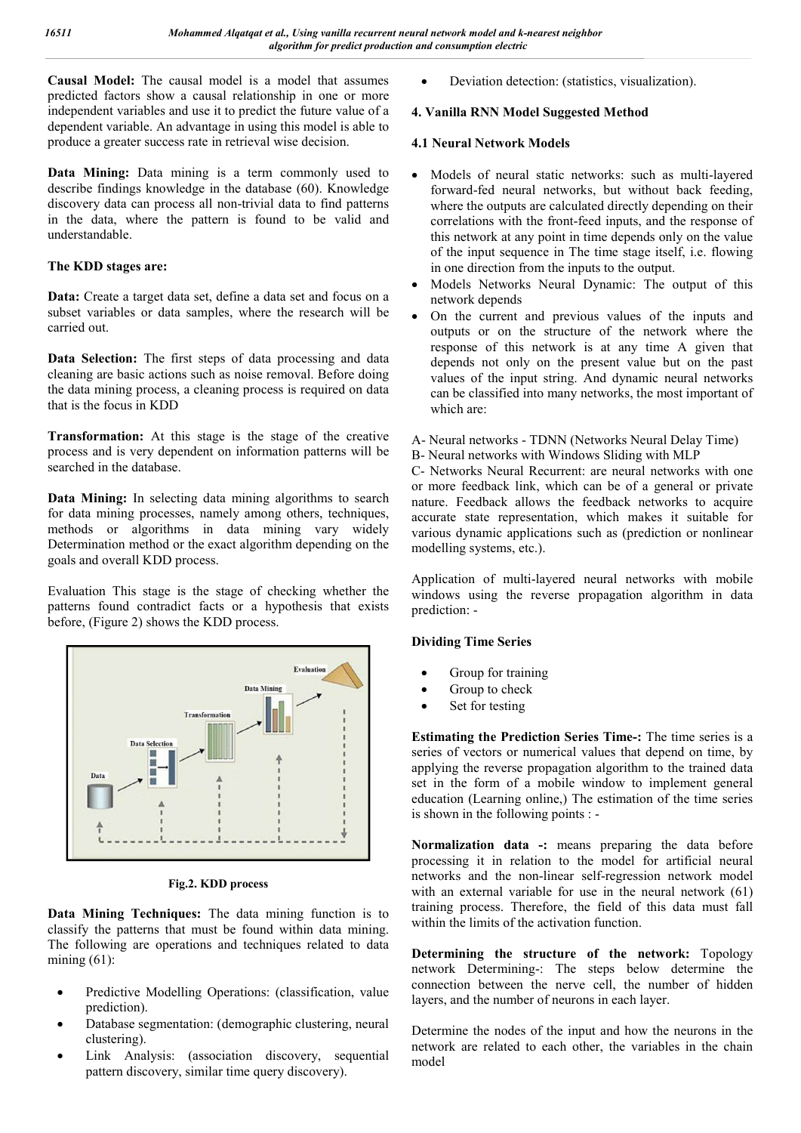**Causal Model:** The causal model is a model that assumes predicted factors show a causal relationship in one or more independent variables and use it to predict the future value of a dependent variable. An advantage in using this model is able to produce a greater success rate in retrieval wise decision.

**Data Mining:** Data mining is a term commonly used to describe findings knowledge in the database (60). Knowledge discovery data can process all non-trivial data to find patterns in the data, where the pattern is found to be valid and understandable.

#### **The KDD stages are:**

**Data:** Create a target data set, define a data set and focus on a subset variables or data samples, where the research will be carried out.

**Data Selection:** The first steps of data processing and data cleaning are basic actions such as noise removal. Before doing the data mining process, a cleaning process is required on data that is the focus in KDD

**Transformation:** At this stage is the stage of the creative process and is very dependent on information patterns will be searched in the database.

**Data Mining:** In selecting data mining algorithms to search for data mining processes, namely among others, techniques, methods or algorithms in data mining vary widely Determination method or the exact algorithm depending on the goals and overall KDD process.

Evaluation This stage is the stage of checking whether the patterns found contradict facts or a hypothesis that exists before, (Figure 2) shows the KDD process.



**Fig.2. KDD process**

**Data Mining Techniques:** The data mining function is to classify the patterns that must be found within data mining. The following are operations and techniques related to data mining  $(61)$ :

- Predictive Modelling Operations: (classification, value prediction).
- Database segmentation: (demographic clustering, neural clustering).
- Link Analysis: (association discovery, sequential pattern discovery, similar time query discovery).

Deviation detection: (statistics, visualization).

#### **4. Vanilla RNN Model Suggested Method**

#### **4.1 Neural Network Models**

- Models of neural static networks: such as multi-layered forward-fed neural networks, but without back feeding, where the outputs are calculated directly depending on their correlations with the front-feed inputs, and the response of this network at any point in time depends only on the value of the input sequence in The time stage itself, i.e. flowing in one direction from the inputs to the output.
- Models Networks Neural Dynamic: The output of this network depends
- On the current and previous values of the inputs and outputs or on the structure of the network where the response of this network is at any time A given that depends not only on the present value but on the past values of the input string. And dynamic neural networks can be classified into many networks, the most important of which are:
- A- Neural networks TDNN (Networks Neural Delay Time)
- B- Neural networks with Windows Sliding with MLP

C- Networks Neural Recurrent: are neural networks with one or more feedback link, which can be of a general or private nature. Feedback allows the feedback networks to acquire accurate state representation, which makes it suitable for various dynamic applications such as (prediction or nonlinear modelling systems, etc.).

Application of multi-layered neural networks with mobile windows using the reverse propagation algorithm in data prediction: -

#### **Dividing Time Series**

- Group for training
- Group to check
- Set for testing

**Estimating the Prediction Series Time-:** The time series is a series of vectors or numerical values that depend on time, by applying the reverse propagation algorithm to the trained data set in the form of a mobile window to implement general education (Learning online,) The estimation of the time series is shown in the following points : -

**Normalization data -:** means preparing the data before processing it in relation to the model for artificial neural networks and the non-linear self-regression network model with an external variable for use in the neural network (61) training process. Therefore, the field of this data must fall within the limits of the activation function.

**Determining the structure of the network:** Topology network Determining-: The steps below determine the connection between the nerve cell, the number of hidden layers, and the number of neurons in each layer.

Determine the nodes of the input and how the neurons in the network are related to each other, the variables in the chain model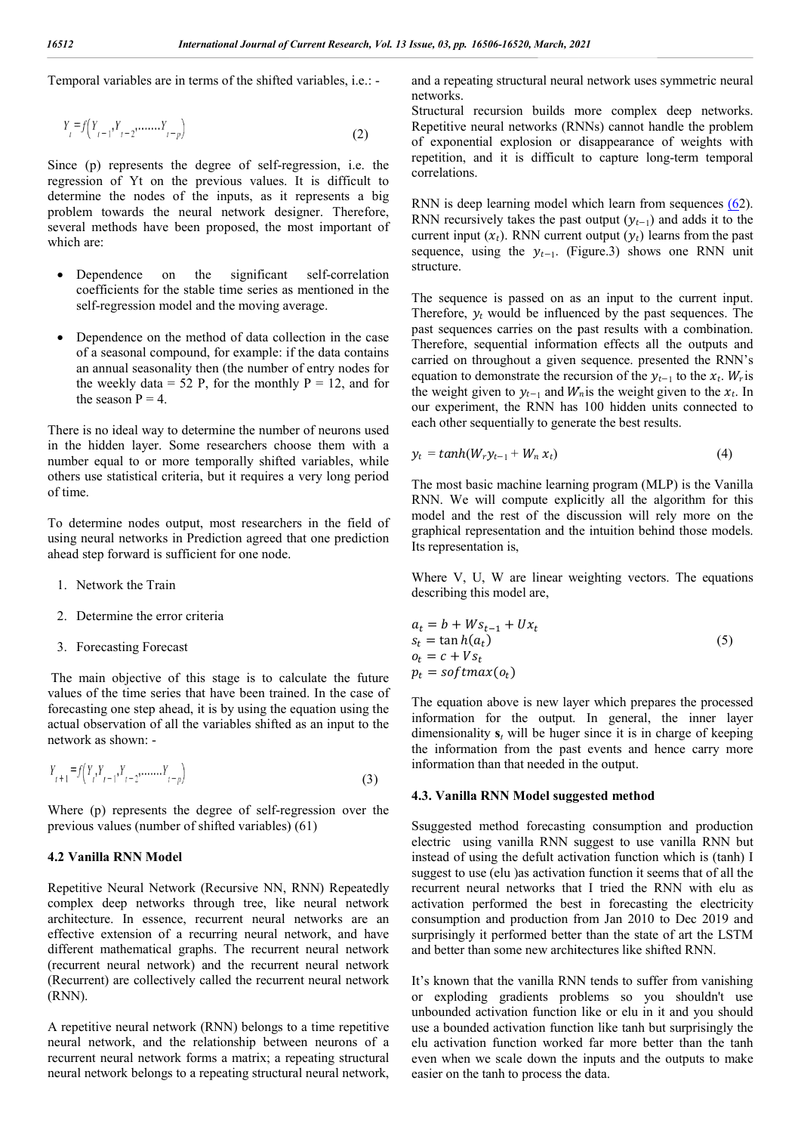Temporal variables are in terms of the shifted variables, i.e.: -

$$
Y_{t} = f(Y_{t-1}, Y_{t-2}, \dots, Y_{t-p})
$$
\n(2)

Since (p) represents the degree of self-regression, i.e. the regression of Yt on the previous values. It is difficult to determine the nodes of the inputs, as it represents a big problem towards the neural network designer. Therefore, Since (p) represents the degree of self-regression, i.e. the regression of Yt on the previous values. It is difficult to determine the nodes of the inputs, as it represents a big problem towards the neural network designer which are:

- $\bullet$  Dependence on the significant coefficients for the stable time series as mentioned in the self-regression model and the moving average. self-correlation
- Dependence on the method of data collection in the case of a seasonal compound, for example: if the data contains an annual seasonality then (the number of entry nodes for the weekly data = 52 P, for the monthly  $P = 12$ , and for the season  $P = 4$ . regression model and<br>endence on the meth<br>seasonal compound,

There is no ideal way to determine the number of neurons used in the hidden layer. Some researchers choose them with a number equal to or more temporally shifted variables, while others use statistical criteria, but it requires a very long period of time.

To determine nodes output, most researchers in the field of using neural networks in Prediction agreed that one prediction ahead step forward is sufficient for one node.

- 1. Network the Train
- 2. Determine the error criteria
- 3. Forecasting Forecast

The main objective of this stage is to calculate the future values of the time series that have been trained. In the case of forecasting one step ahead, it is by using the equation using the actual observation of all the variables shifted as an input to the network as shown: -

$$
Y_{t+1} = f(Y_t, Y_{t-1}, Y_{t-2}, \dots, Y_{t-p})
$$
\n(3)

Where ( $p$ ) represents the degree of self-regression over the previous values (number of shifted variables)  $(61)$ previous values (number of shifted variables)

#### **4.2 Vanilla RNN Model**

Repetitive Neural Network (Recursive NN, RNN) Repeatedly complex deep networks through tree, like neural network architecture. In essence, recurrent neural networks are an effective extension of a recurring neural network, and have different mathematical graphs. The recurrent neural network (recurrent neural network) and the recurrent neural network (Recurrent) are collectively called the recurrent neural network (RNN).

A repetitive neural network (RNN) belongs to a time repetitive neural network, and the relationship between neurons of a recurrent neural network forms a matrix; a repeating structural neural network belongs to a repeating structural neural network,

and a repeating structural neural network uses symmetric neural networks.

Structural recursion builds more complex deep networks. Structural recursion builds more complex deep networks.<br>Repetitive neural networks (RNNs) cannot handle the problem of exponential explosion or disappearance of weights with repetition, and it is difficult to capture long-term temporal correlations.

RNN is deep learning model which learn from sequences  $(62)$ . RNN recursively takes the past output  $(y_{t-1})$  and adds it to the current input  $(x_t)$ . RNN current output  $(y_t)$  learns from the past sequence, using the  $y_{t-1}$ . (Figure.3) shows one RNN unit structure.

The sequence is passed on as an input to the current input. Therefore,  $y_t$  would be influenced by the past sequences. The past sequences carries on the past results with a combination. Therefore, sequential information effects all the outputs and carried on throughout a given sequence. presented the RNN's equation to demonstrate the recursion of the  $y_{t-1}$  to the  $x_t$ . Wris the weight given to  $y_{t-1}$  and  $W_n$  is the weight given to the  $x_t$ . In our experiment, the RNN has 100 hidden units connected to each other sequentially to generate the best results.<br>  $y_t = tanh(W_r y_{t-1} + W_n x_t)$  (4) each other sequentially to generate the best results. *k, pp. 16396-16320. March. 2021*<br> *k, pp. 16396-16320. March. 2021*<br>
repeating structural neural network uses symmetric involvemental recursion builds more complex deep networks (KNNs) cannot handle the protononical repl

$$
y_t = tanh(W_r y_{t-1} + W_n x_t)
$$
\n(4)

The most basic machine learning program (MLP) is the Vanilla RNN. We will compute explicitly all the algorithm for this model and the rest of the discussion will rely more on the graphical representation and the intuition behind Its representation is, (MLP) is the Vanilla<br>le algorithm for this<br>ill rely more on the<br>behind those models.

Where V, U, W are linear weighting vectors. The equations describing this model are,

$$
a_t = b + Ws_{t-1} + Ux_t
$$
  
\n
$$
s_t = \tan h(a_t)
$$
  
\n
$$
o_t = c + Vs_t
$$
  
\n
$$
p_t = softmax(o_t)
$$
\n(5)

The equation above is new layer which prepares the processed information for the output. In general, the inner layer dimensionality **s***<sup>t</sup>* will be huger since it is in charge of keeping the information from the past events and hence carry more information than that needed in the output. The equation above is new layer which prepares the processed information for the output. In general, the inner layer imensionality  $s_t$  will be huger since it is in charge of keeping interpretation from the past events an

#### **4.3. Vanilla RNN Model suggested method**

Ssuggested method forecasting consumption and production electric using vanilla RNN suggest to use vanilla RNN but instead of using the defult activation function which is  $(tanh)$  I suggest to use (elu )as activation function it seems that of all the suggest to use (elu ) as activation function it seems that of all the recurrent neural networks that I tried the RNN with elu as activation performed the best in forecasting the electricity consumption and production from Jan 2010 to Dec 2019 and surprisingly it performed better than the state of art the LSTM and better than some new architectures like shifted RNN. expected the best in forecasting the electricity<br>and production from Jan 2010 to Dec 2019 and<br>t performed better than the state of art the LSTM

It's known that the vanilla RNN tends to suffer from vanishing or exploding gradients problems so you shouldn't use unbounded activation function like or elu in it and you should use a bounded activation function like tanh but surprisingly the unbounded activation function like or elu in it and you should<br>use a bounded activation function like tanh but surprisingly the<br>elu activation function worked far more better than the tanh even when we scale down the inputs and the outputs to make easier on the tanh to process the data.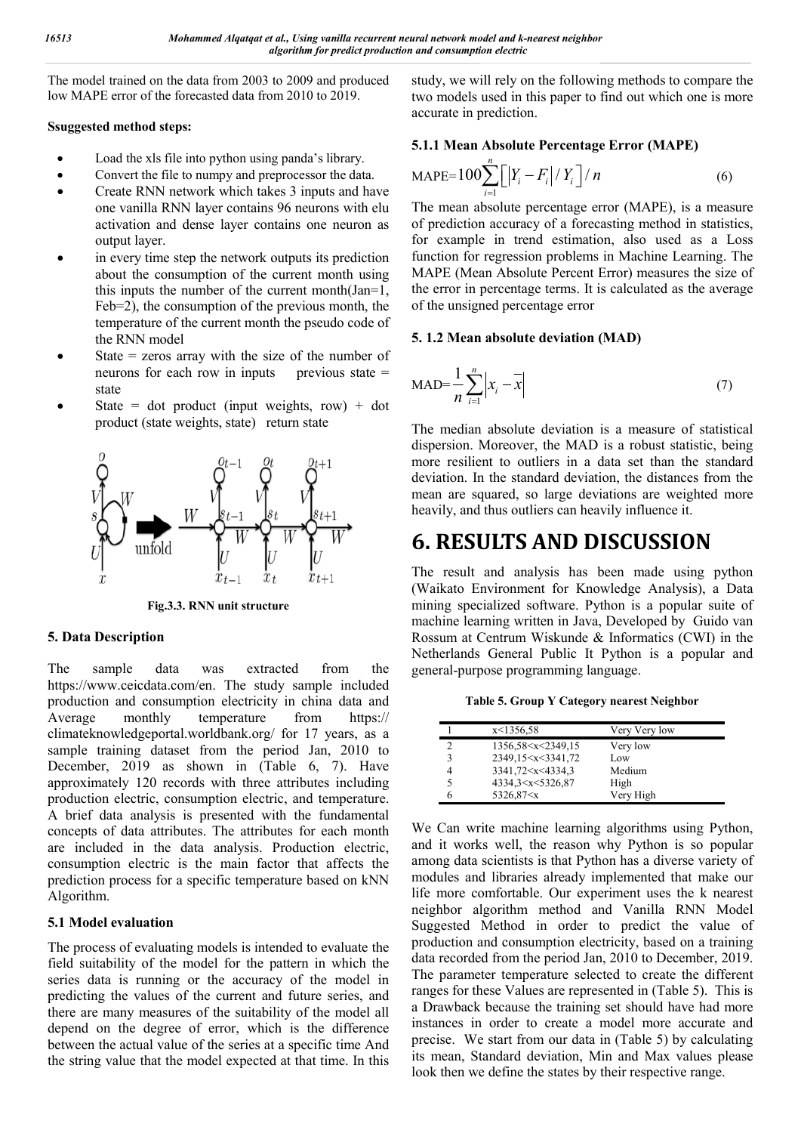The model trained on the data from 2003 to 2009 and produced low MAPE error of the forecasted data from 2010 to 2019.

#### **Ssuggested method steps:**

- Load the xls file into python using panda's library.
- Convert the file to numpy and preprocessor the data.
- Create RNN network which takes 3 inputs and have one vanilla RNN layer contains 96 neurons with elu activation and dense layer contains one neuron as output layer.
- in every time step the network outputs its prediction about the consumption of the current month using this inputs the number of the current month(Jan=1, Feb=2), the consumption of the previous month, the temperature of the current month the pseudo code of the RNN model
- State  $=$  zeros array with the size of the number of neurons for each row in inputs previous state  $=$ state
- State = dot product (input weights, row) + dot product (state weights, state) return state



**Fig.3.3. RNN unit structure**

#### **5. Data Description**

The sample data was extracted from the https://www.ceicdata.com/en. The study sample included production and consumption electricity in china data and Average monthly temperature from https:// climateknowledgeportal.worldbank.org/ for 17 years, as a sample training dataset from the period Jan, 2010 to December, 2019 as shown in (Table 6, 7). Have approximately 120 records with three attributes including production electric, consumption electric, and temperature. A brief data analysis is presented with the fundamental concepts of data attributes. The attributes for each month are included in the data analysis. Production electric, consumption electric is the main factor that affects the prediction process for a specific temperature based on kNN Algorithm.

#### **5.1 Model evaluation**

The process of evaluating models is intended to evaluate the field suitability of the model for the pattern in which the series data is running or the accuracy of the model in predicting the values of the current and future series, and there are many measures of the suitability of the model all depend on the degree of error, which is the difference between the actual value of the series at a specific time And the string value that the model expected at that time. In this

study, we will rely on the following methods to compare the two models used in this paper to find out which one is more accurate in prediction.

### **5.1.1 Mean Absolute Percentage Error (MAPE)**

$$
\text{MAPE}=100\sum_{i=1}^{n}\left[\left|Y_{i}-F_{i}\right|/Y_{i}\right]/n\tag{6}
$$

The mean absolute percentage error (MAPE), is a measure of prediction accuracy of a forecasting method in statistics, for example in trend estimation, also used as a Loss function for regression problems in Machine Learning. The MAPE (Mean Absolute Percent Error) measures the size of the error in percentage terms. It is calculated as the average of the unsigned percentage error

#### **5. 1.2 Mean absolute deviation (MAD)**

$$
MAD = \frac{1}{n} \sum_{i=1}^{n} \left| x_i - \overline{x} \right| \tag{7}
$$

The median absolute deviation is a measure of statistical dispersion. Moreover, the MAD is a robust statistic, being more resilient to outliers in a data set than the standard deviation. In the standard deviation, the distances from the mean are squared, so large deviations are weighted more heavily, and thus outliers can heavily influence it.

# **6. RESULTS AND DISCUSSION**

The result and analysis has been made using python (Waikato Environment for Knowledge Analysis), a Data mining specialized software. Python is a popular suite of machine learning written in Java, Developed by Guido van Rossum at Centrum Wiskunde & Informatics (CWI) in the Netherlands General Public It Python is a popular and general-purpose programming language.

**Table 5. Group Y Category nearest Neighbor**

|   | x<1356,58                                                         | Very Very low |  |
|---|-------------------------------------------------------------------|---------------|--|
| ∍ | 1356,58 <x<2349,15< td=""><td>Very low</td><td></td></x<2349,15<> | Very low      |  |
| 3 | 2349,15 <x<3341,72< td=""><td>Low</td><td></td></x<3341,72<>      | Low           |  |
| 4 | 3341,72 < x < 4334,3                                              | Medium        |  |
|   | 4334,3 <x<5326,87< td=""><td>High</td><td></td></x<5326,87<>      | High          |  |
|   | 5326,87 <x< td=""><td>Very High</td><td></td></x<>                | Very High     |  |

We Can write machine learning algorithms using Python, and it works well, the reason why Python is so popular among data scientists is that Python has a diverse variety of modules and libraries already implemented that make our life more comfortable. Our experiment uses the k nearest neighbor algorithm method and Vanilla RNN Model Suggested Method in order to predict the value of production and consumption electricity, based on a training data recorded from the period Jan, 2010 to December, 2019. The parameter temperature selected to create the different ranges for these Values are represented in (Table 5). This is a Drawback because the training set should have had more instances in order to create a model more accurate and precise. We start from our data in (Table 5) by calculating its mean, Standard deviation, Min and Max values please look then we define the states by their respective range.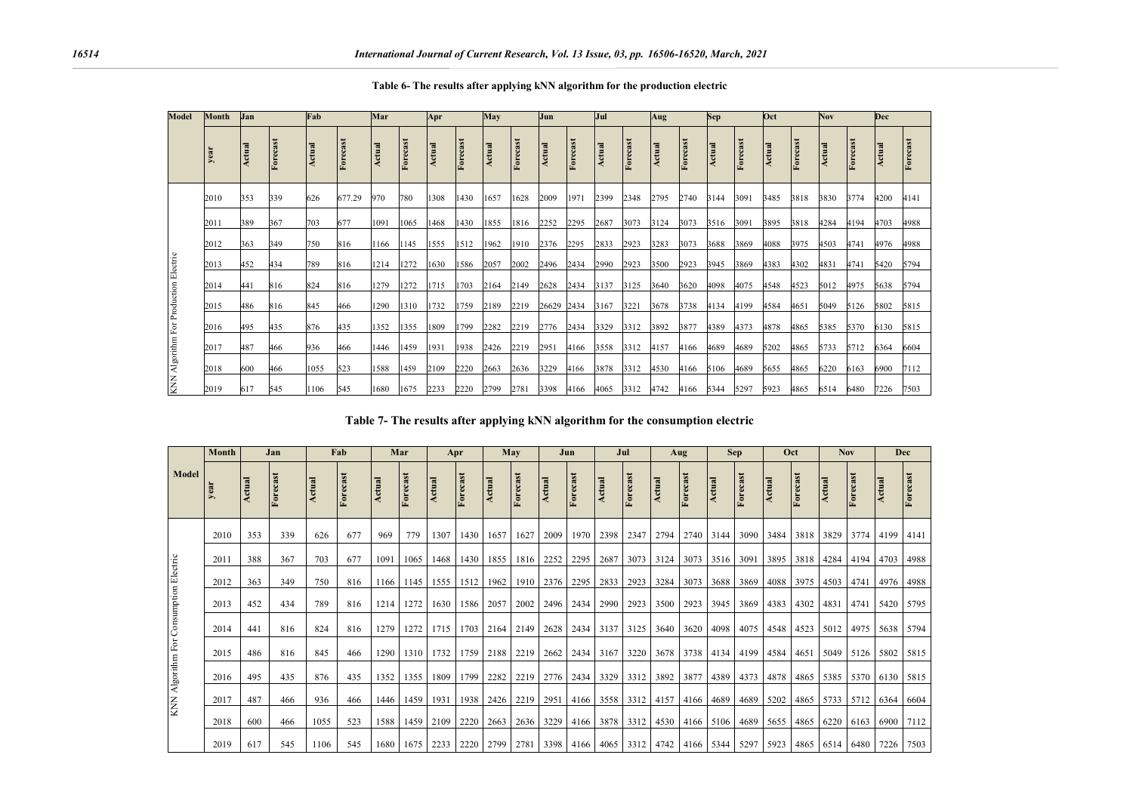| <b>Model</b>                          | <b>Month</b> | Jan    |          | Fab    |          | Mar    |          | Apr    |          | May    |          | <b>Jun</b> |          | <b>Jul</b> |          | Aug    |          | Sep    |          | Oct    |          | <b>Nov</b> |          | Dec    |          |
|---------------------------------------|--------------|--------|----------|--------|----------|--------|----------|--------|----------|--------|----------|------------|----------|------------|----------|--------|----------|--------|----------|--------|----------|------------|----------|--------|----------|
|                                       | year         | Actual | Forecast | Actual | Forecast | Actual | Forecast | Actual | Forecast | Actual | Forecast | Actual     | Forecast | Actual     | Forecast | Actual | Forecast | Actual | Forecast | Actual | Forecast | Actual     | Forecast | Actual | Forecast |
|                                       | 2010         | 353    | 339      | 626    | 677.29   | 970    | 780      | 1308   | 1430     | 1657   | 1628     | 2009       | 1971     | 2399       | 2348     | 2795   | 2740     | 3144   | 3091     | 3485   | 3818     | 3830       | 3774     | 4200   | 4141     |
|                                       | 2011         | 389    | 367      | 703    | 677      | 1091   | 1065     | 1468   | 1430     | 1855   | 1816     | 2252       | 2295     | 2687       | 3073     | 3124   | 3073     | 3516   | 3091     | 3895   | 3818     | 4284       | 4194     | 4703   | 4988     |
|                                       | 2012         | 363    | 349      | 750    | 816      | 1166   | 1145     | 1555   | 1512     | 1962   | 1910     | 2376       | 2295     | 2833       | 2923     | 3283   | 3073     | 3688   | 3869     | 4088   | 3975     | 4503       | 4741     | 4976   | 4988     |
|                                       | 2013         | 452    | 434      | 789    | 816      | 1214   | 1272     | 1630   | 1586     | 2057   | 2002     | 2496       | 2434     | 2990       | 2923     | 3500   | 2923     | 3945   | 3869     | 4383   | 4302     | 4831       | 4741     | 5420   | 5794     |
|                                       | 2014         | 441    | 816      | 824    | 816      | 1279   | 1272     | 1715   | 1703     | 2164   | 2149     | 2628       | 2434     | 3137       | 3125     | 3640   | 3620     | 4098   | 4075     | 4548   | 4523     | 5012       | 4975     | 5638   | 5794     |
|                                       | 2015         | 486    | 816      | 845    | 466      | 1290   | 1310     | 1732   | 1759     | 2189   | 2219     | 26629 2434 |          | 3167       | 3221     | 3678   | 3738     | 4134   | 4199     | 4584   | 4651     | 5049       | 5126     | 5802   | 5815     |
|                                       | 2016         | 495    | 435      | 876    | 435      | 1352   | 1355     | 1809   | 1799     | 2282   | 2219     | 2776       | 2434     | 3329       | 3312     | 3892   | 3877     | 4389   | 4373     | 4878   | 4865     | 5385       | 5370     | 6130   | 5815     |
|                                       | 2017         | 487    | 466      | 936    | 466      | 1446   | 1459     | 1931   | 1938     | 2426   | 2219     | 2951       | 4166     | 3558       | 3312     | 4157   | 4166     | 4689   | 4689     | 5202   | 4865     | 5733       | 5712     | 6364   | 6604     |
| KNN Algorithm For Production Electric | 2018         | 600    | 466      | 1055   | 523      | 1588   | 1459     | 2109   | 2220     | 2663   | 2636     | 3229       | 4166     | 3878       | 3312     | 4530   | 4166     | 5106   | 4689     | 5655   | 4865     | 6220       | 6163     | 6900   | 7112     |
|                                       | 2019         | 617    | 545      | 1106   | 545      | 1680   | 1675     | 2233   | 2220     | 2799   | 2781     | 3398       | 4166     | 4065       | 3312     | 4742   | 4166     | 5344   | 5297     | 5923   | 4865     | 6514       | 6480     | 7226   | 7503     |

**Table 6- The results after applying kNN algorithm for the production electric**

**Table 7- The results after applying kNN algorithm for the consumption electric**

|                                        | <b>Month</b> |        | Jan      |        | Fab      |        | Mar      |        | Apr      |        | May      |        | Jun      |        | Jul      |        | Aug      |           | <b>Sep</b> |        | Oct      |        | <b>Nov</b> |        | Dec      |
|----------------------------------------|--------------|--------|----------|--------|----------|--------|----------|--------|----------|--------|----------|--------|----------|--------|----------|--------|----------|-----------|------------|--------|----------|--------|------------|--------|----------|
| Model                                  | year         | Actual | Forecast | Actual | Forecast | Actual | Forecast | Actual | Forecast | Actual | Forecast | Actual | Forecast | Actual | Forecast | Actual | Forecast | Actual    | Forecast   | Actual | Forecast | Actual | Forecast   | Actual | Forecast |
|                                        | 2010         | 353    | 339      | 626    | 677      | 969    | 779      | 1307   | 1430     | 1657   | 1627     | 2009   | 1970     | 2398   | 2347     | 2794   | 2740     | 3144      | 3090       | 3484   | 3818     | 3829   | 3774       | 4199   | 4141     |
|                                        | 2011         | 388    | 367      | 703    | 677      | 109    | 1065     | 1468   | 1430     | 1855   | 1816     | 2252   | 2295     | 2687   | 3073     | 3124   | 3073     | 3516      | 3091       | 3895   | 3818     | 4284   | 4194       | 4703   | 4988     |
|                                        | 2012         | 363    | 349      | 750    | 816      | 1166   | 1145     | 1555   | 1512     | 1962   | 1910     | 2376   | 2295     | 2833   | 2923     | 3284   | 3073     | 3688      | 3869       | 4088   | 3975     | 4503   | 4741       | 4976   | 4988     |
|                                        | 2013         | 452    | 434      | 789    | 816      | 1214   | 1272     | 1630   | 1586     | 2057   | 2002     | 2496   | 2434     | 2990   | 2923     | 3500   | 2923     | 3945      | 3869       | 4383   | 4302     | 4831   | 4741       | 5420   | 5795     |
| KNN Algorithm For Consumption Electric | 2014         | 441    | 816      | 824    | 816      | 1279   | 1272     | 1715   | 1703     | 2164   | 2149     | 2628   | 2434     | 3137   | 3125     | 3640   | 3620     | 4098      | 4075       | 4548   | 4523     | 5012   | 4975       | 5638   | 5794     |
|                                        | 2015         | 486    | 816      | 845    | 466      | 1290   | 1310     | 1732   | 1759     | 2188   | 2219     | 2662   | 2434     | 3167   | 3220     | 3678   | 3738     | 4134      | 4199       | 4584   | 4651     | 5049   | 5126       | 5802   | 5815     |
|                                        | 2016         | 495    | 435      | 876    | 435      | 1352   | 1355     | 1809   | 1799     | 2282   | 2219     | 2776   | 2434     | 3329   | 3312     | 3892   | 3877     | 4389      | 4373       | 4878   | 4865     | 5385   | 5370       | 6130   | 5815     |
|                                        | 2017         | 487    | 466      | 936    | 466      | 1446   | 1459     | 1931   | 1938     | 2426   | 2219     | 2951   | 4166     | 3558   | 3312     | 4157   | 4166     | 4689      | 4689       | 5202   | 4865     | 5733   | 5712       | 6364   | 6604     |
|                                        | 2018         | 600    | 466      | 1055   | 523      | 1588   | 1459     | 2109   | 2220     | 2663   | 2636     | 3229   | 4166     | 3878   | 3312     | 4530   | 4166     | 5106      | 4689       | 5655   | 4865     | 6220   | 6163       | 6900   | 7112     |
|                                        | 2019         | 617    | 545      | 1106   | 545      | 1680   | 1675     | 2233   | 2220     | 2799   | 2781     | 3398   | 4166     | 4065   | 3312     | 4742   |          | 4166 5344 | 5297       | 5923   | 4865     | 6514   | 6480       | 7226   | 7503     |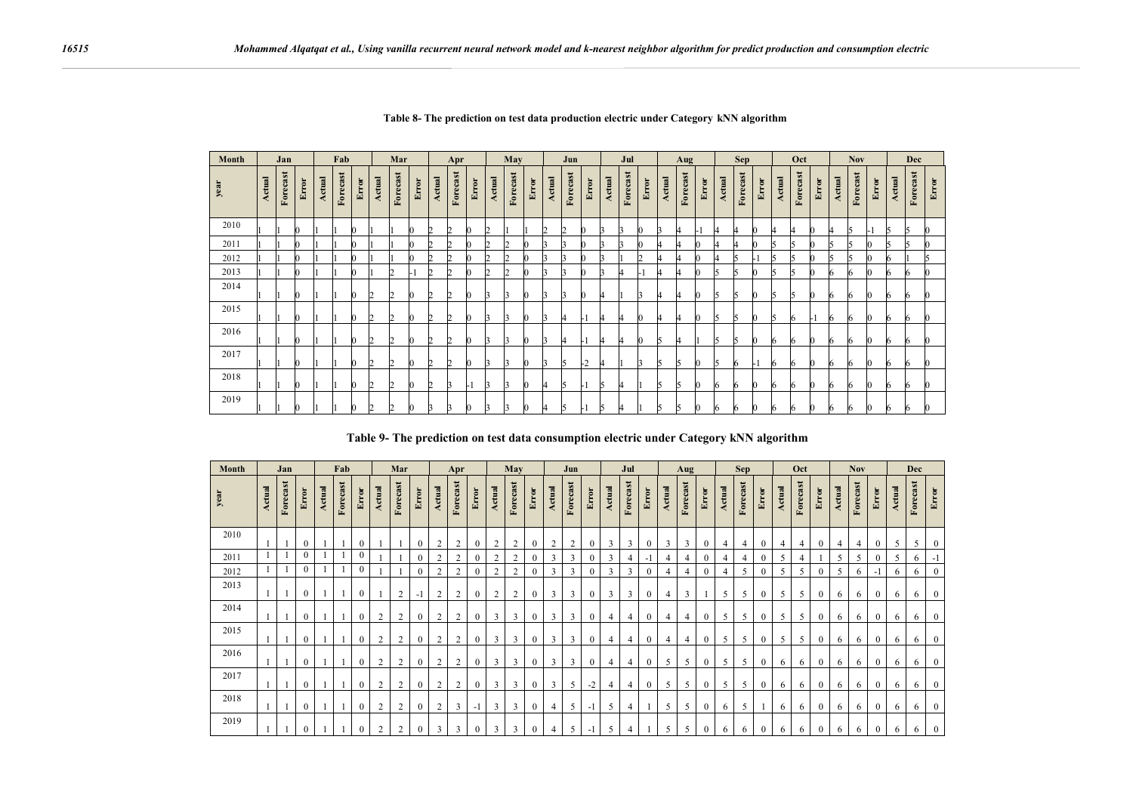| Month |        | Jan      |              |        | Fab            |       |        | Mar      |       |               | Apr      |       |        | May      |       |               | Jun      |          |        | Jul      |       |        | Aug           |       |               | <b>Sep</b> |       |               | Oct      |       |               | <b>Nov</b> |       |               | Dec      |       |
|-------|--------|----------|--------------|--------|----------------|-------|--------|----------|-------|---------------|----------|-------|--------|----------|-------|---------------|----------|----------|--------|----------|-------|--------|---------------|-------|---------------|------------|-------|---------------|----------|-------|---------------|------------|-------|---------------|----------|-------|
| year  | Actual | Forecast | <b>Error</b> | Actual | orecast<br>Γx. | Error | Actual | Forecast | Error | <b>Actual</b> | Forecast | Error | Actual | Forecast | Error | <b>Actual</b> | Forecast | Error    | Actual | Forecast | Error | Actual | orecast<br>Ŀ. | Error | <b>Actual</b> | Forecast   | Error | <b>Actual</b> | Forecast | Error | <b>Actual</b> | Forecast   | Error | <b>Actual</b> | Forecast | Error |
| 2010  |        |          |              |        |                |       |        |          |       | 2             |          |       | 2      |          |       |               | n        |          |        |          |       |        |               |       | 4             | 4          |       |               | 14       | 0     |               | ּ          |       | К             |          |       |
| 2011  |        |          |              |        |                |       | ı      |          |       | 2             |          |       | 2      | 2        |       |               |          |          |        |          |       |        |               |       | 4             | 4          |       |               | 5        | 0     |               |            |       | к             |          |       |
| 2012  |        |          |              |        |                |       |        |          |       | 2             |          |       | 2      |          |       |               | ń        |          |        |          |       |        |               |       | Δ             |            |       |               | 5        | 0     |               |            |       |               |          |       |
| 2013  |        |          |              |        |                |       |        | 2        |       | 2             |          |       | 2      | 2        |       |               | к        |          |        |          |       |        |               |       | 15            | ĸ          |       |               | 5        | 0     |               |            |       |               |          |       |
| 2014  |        |          | r            |        |                |       | 2      |          |       | 2             |          |       | 3      | 13       |       |               | в        | $\bf{0}$ |        |          | R     | 14     |               |       | 15            | к          |       |               | 5        | 0     |               |            |       | 6             |          |       |
| 2015  |        |          | O            |        |                |       | 2      | n        |       | 2             | n        |       | l3     | I٩       |       | в             |          | нI       |        | 4        |       | 14     |               |       | l5            | к          |       | h             | 6        | l- l  |               |            |       | 6             |          |       |
| 2016  |        |          |              |        |                |       | 2      | 2        |       | 2             |          |       | I٩     | R        |       |               |          | ы        |        |          |       |        |               |       | 5             | ĸ          |       |               | 6        | 0     |               |            |       |               |          |       |
| 2017  |        |          |              |        |                |       | 2      |          |       | 2             |          |       | ٦      |          |       |               |          | -2       |        |          |       |        |               |       | l5            | ь          |       |               | 6        | n     |               |            |       |               |          |       |
| 2018  |        |          |              |        |                |       | 2      |          |       | 2             |          |       | 3      | 3        |       |               | h        | ы        | ĸ      | и        |       |        | ı٠            |       | 16            | 6          |       |               | 6        | 0     |               |            |       | n             |          |       |
| 2019  |        |          |              |        |                |       | I2     |          |       |               |          |       |        |          |       |               | רו       |          |        |          |       |        |               |       | 6             | ь          |       |               | 6        | 0     |               |            |       |               |          |       |

**Table 8- The prediction on test data production electric under Category kNN algorithm**

**Table 9- The prediction on test data consumption electric under Category kNN algorithm**

| Month |        | Jan                                |                  |        | Fab      |                  |                | Mar            |                  |                | Apr            |                  |                | May            |                  |                | Jun            |              |                | Jul            |              |                | Aug            |              |                | <b>Sep</b> |              |                | Oct      |              |                | <b>Nov</b> |              |        | Dec      |                  |
|-------|--------|------------------------------------|------------------|--------|----------|------------------|----------------|----------------|------------------|----------------|----------------|------------------|----------------|----------------|------------------|----------------|----------------|--------------|----------------|----------------|--------------|----------------|----------------|--------------|----------------|------------|--------------|----------------|----------|--------------|----------------|------------|--------------|--------|----------|------------------|
| year  | Actual | $\overline{\mathbf{s}}$<br>Forecas | <b>Error</b>     | Actual | Forecast | Error            | Actual         | Forecast       | Error            | Actual         | Forecast       | Error            | Actual         | Forecast       | Error            | Actual         | Forecast       | <b>Error</b> | Actual         | Forecast       | Error        | Actual         | Forecast       | Error        | Actual         | Forecast   | Error        | Actual         | Forecast | Error        | Actual         | Forecast   | Error        | Actual | Forecast | Error            |
| 2010  |        |                                    | $\theta$         |        |          | $\mathbf{0}$     |                |                | $\mathbf{0}$     | $\overline{c}$ | 2              | $\mathbf{0}$     | 2              | 2              | $\mathbf{0}$     | $\overline{2}$ | $\overline{2}$ | $\mathbf{0}$ | 3              | 3              | $\mathbf{0}$ | 3              | 3              | $\mathbf{0}$ | $\overline{4}$ | 4          | $\mathbf{0}$ | $\overline{4}$ | 4        | $\mathbf{0}$ | $\overline{4}$ | 4          | $\mathbf{0}$ | 5      | 5        | $\mathbf{0}$     |
| 2011  |        |                                    | $\theta$         |        |          | $\Omega$         |                |                | $\theta$         | $\overline{2}$ | $\overline{2}$ | $\theta$         | 2              | $\overline{2}$ | 0                | 3              | 3              | $\Omega$     | 3              |                | - 1          | 4              | $\overline{4}$ |              | $\overline{4}$ | 4          | $\theta$     | 5              | 4        |              | 5              |            | $\Omega$     | 5      | 6        | $-1$             |
| 2012  |        |                                    | $\theta$         |        |          | $\mathbf{0}$     |                |                | $\overline{0}$   | $\mathcal{D}$  | $\overline{2}$ | $\mathbf{0}$     | 2              | $\overline{2}$ | $\mathbf{0}$     | 3              | 3              |              | 3              | 3              | $\Omega$     | $\overline{4}$ | $\overline{4}$ |              | $\overline{4}$ | 5          | $\mathbf{0}$ |                | 5        |              | 5              |            | -1           | 6      | 6        | $\boldsymbol{0}$ |
| 2013  |        |                                    | $\mathbf{0}$     |        |          | $\boldsymbol{0}$ |                | $\overline{2}$ | $\mathbf{-}$     | $\overline{2}$ | $\overline{2}$ | $\boldsymbol{0}$ | $\overline{c}$ | 2              | $\boldsymbol{0}$ | 3              | 3              | $\mathbf{0}$ | 3              | 3              | $\mathbf{0}$ | $\overline{4}$ | 3              |              | 5              | 5          | $\mathbf{0}$ | 5              | 5        | $\mathbf{0}$ | 6              | 6          | $\mathbf{0}$ | 6      | 6        | $\bf{0}$         |
| 2014  |        |                                    | $\mathbf{0}$     |        |          | $\boldsymbol{0}$ | $\overline{2}$ | $\overline{2}$ | $\overline{0}$   | $\overline{2}$ | 2              | $\bf{0}$         | 3              | 3              | $\mathbf{0}$     | 3              | 3              | $\mathbf{0}$ | $\overline{4}$ | 4              | $\mathbf{0}$ | 4              | $\overline{4}$ | $\mathbf 0$  | 5              | 5          | $\mathbf{0}$ | 5              | 5        | $\mathbf{0}$ | 6              | 6          | $\mathbf{0}$ | 6      | 6        | $\boldsymbol{0}$ |
| 2015  |        |                                    | $\theta$         |        |          | $\mathbf{0}$     | $\overline{2}$ | $\overline{2}$ | $\mathbf{0}$     | $\overline{2}$ | $\overline{2}$ | $\mathbf{0}$     | 3              | 3              | $\mathbf{0}$     | 3              | 3              | $\Omega$     | $\overline{4}$ | 4              | $\mathbf{0}$ | 4              | $\overline{4}$ | $\Omega$     | 5              | 5          | $\mathbf{0}$ | 5              | 5        | $\mathbf{0}$ | 6              | 6          | $\theta$     | 6      | 6        | $\boldsymbol{0}$ |
| 2016  |        |                                    | $\mathbf{0}$     |        |          | $\mathbf{0}$     | $\overline{2}$ | $\overline{2}$ | $\mathbf{0}$     | $\overline{2}$ | $\overline{2}$ | $\mathbf{0}$     | 3              | 3              | $\mathbf{0}$     | 3              | 3              | $\mathbf{0}$ | $\overline{4}$ | 4              | $\mathbf{0}$ | 5              | 5              | $\mathbf 0$  | 5              | 5          | $\mathbf{0}$ | 6              | 6        | $\mathbf{0}$ | 6              | 6          | $\mathbf{0}$ | 6      | 6        | $\mathbf{0}$     |
| 2017  |        |                                    | $\mathbf{0}$     |        |          | $\boldsymbol{0}$ | $\overline{2}$ | $\overline{2}$ | $\mathbf{0}$     | $\overline{2}$ | $\overline{2}$ | $\mathbf{0}$     | 3              | 3              | $\mathbf{0}$     | 3              | 5              | $-2$         | $\overline{4}$ | 4              | $\mathbf{0}$ | 5              | 5              | $\mathbf{0}$ | 5              | 5          | $\mathbf{0}$ | 6              | 6        | $\mathbf{0}$ | 6              | 6          | $\mathbf{0}$ | 6      | 6        | $\boldsymbol{0}$ |
| 2018  |        |                                    | $\mathbf{0}$     |        |          | $\boldsymbol{0}$ | $\overline{2}$ | $\overline{2}$ | $\boldsymbol{0}$ | $\overline{2}$ | 3              | $-1$             | 3              | 3              | $\bf{0}$         | $\overline{4}$ | 5              | $-1$         | 5              | $\overline{4}$ |              | 5              | 5              | $\mathbf{0}$ | 6              | 5          |              | 6              | 6        | $\bf{0}$     | 6              | 6          | $\mathbf{0}$ | 6      | 6        | $\bf{0}$         |
| 2019  |        |                                    | $\boldsymbol{0}$ |        |          | $\theta$         | $\overline{2}$ | $\overline{2}$ |                  | 3              | 3              | $\mathbf{0}$     | 3              | 3              | $\mathbf{0}$     |                | 5              | $-1$         | 5              |                |              | 5              | 5              |              | 6              | 6          | $\mathbf{0}$ | 6              | 6        | 0            | 6              | 6          | $\mathbf{0}$ | 6      | 6        | $\mathbf{0}$     |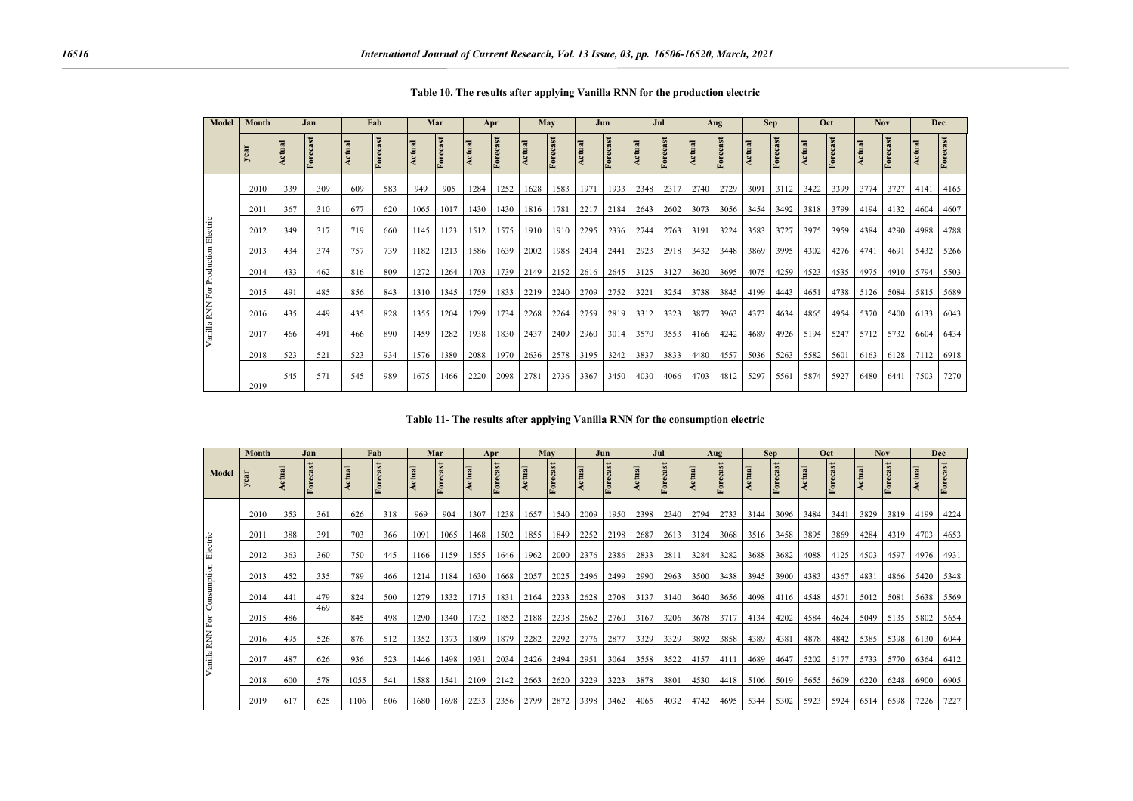| <b>Model</b>                        | Month |        | Jan      |        | Fab          |        | Mar      |        | Apr      |        | May      |        | Jun      |        | Jul      |        | Aug     |        | <b>Sep</b> |        | Oct      |        | <b>Nov</b> |        | Dec      |
|-------------------------------------|-------|--------|----------|--------|--------------|--------|----------|--------|----------|--------|----------|--------|----------|--------|----------|--------|---------|--------|------------|--------|----------|--------|------------|--------|----------|
|                                     | yea   | Actual | Forecast | Actual | cast<br>Fore | Actual | Forecast | Actual | Forecast | Actual | Forecast | Actual | Forecast | Actual | Forecast | Actual | orecast | Actual | Forecast   | Actual | Forecast | Actual | Forecast   | Actual | Forecast |
|                                     | 2010  | 339    | 309      | 609    | 583          | 949    | 905      | 1284   | 1252     | 1628   | 1583     | 1971   | 1933     | 2348   | 2317     | 2740   | 2729    | 3091   | 3112       | 3422   | 3399     | 3774   | 3727       | 4141   | 4165     |
|                                     | 2011  | 367    | 310      | 677    | 620          | 1065   | 1017     | 1430   | 1430     | 1816   | 1781     | 2217   | 2184     | 2643   | 2602     | 3073   | 3056    | 3454   | 3492       | 3818   | 3799     | 4194   | 4132       | 4604   | 4607     |
| Vanilla RNN For Production Electric | 2012  | 349    | 317      | 719    | 660          | 1145   | 1123     | 1512   | 1575     | 1910   | 1910     | 2295   | 2336     | 2744   | 2763     | 3191   | 3224    | 3583   | 3727       | 3975   | 3959     | 4384   | 4290       | 4988   | 4788     |
|                                     | 2013  | 434    | 374      | 757    | 739          | 1182   | 1213     | 1586   | 1639     | 2002   | 1988     | 2434   | 2441     | 2923   | 2918     | 3432   | 3448    | 3869   | 3995       | 4302   | 4276     | 4741   | 4691       | 5432   | 5266     |
|                                     | 2014  | 433    | 462      | 816    | 809          | 1272   | 1264     | 1703   | 1739     | 2149   | 2152     | 2616   | 2645     | 3125   | 3127     | 3620   | 3695    | 4075   | 4259       | 4523   | 4535     | 4975   | 4910       | 5794   | 5503     |
|                                     | 2015  | 491    | 485      | 856    | 843          | 1310   | 1345     | 1759   | 1833     | 2219   | 2240     | 2709   | 2752     | 3221   | 3254     | 3738   | 3845    | 4199   | 4443       | 4651   | 4738     | 5126   | 5084       | 5815   | 5689     |
|                                     | 2016  | 435    | 449      | 435    | 828          | 1355   | 1204     | 1799   | 1734     | 2268   | 2264     | 2759   | 2819     | 3312   | 3323     | 3877   | 3963    | 4373   | 4634       | 4865   | 4954     | 5370   | 5400       | 6133   | 6043     |
|                                     | 2017  | 466    | 491      | 466    | 890          | 1459   | 1282     | 1938   | 1830     | 2437   | 2409     | 2960   | 3014     | 3570   | 3553     | 4166   | 4242    | 4689   | 4926       | 5194   | 5247     | 5712   | 5732       | 6604   | 6434     |
|                                     | 2018  | 523    | 521      | 523    | 934          | 1576   | 1380     | 2088   | 1970     | 2636   | 2578     | 3195   | 3242     | 3837   | 3833     | 4480   | 4557    | 5036   | 5263       | 5582   | 5601     | 6163   | 6128       | 7112   | 6918     |
|                                     | 2019  | 545    | 571      | 545    | 989          | 1675   | 1466     | 2220   | 2098     | 2781   | 2736     | 3367   | 3450     | 4030   | 4066     | 4703   | 4812    | 5297   | 5561       | 5874   | 5927     | 6480   | 6441       | 7503   | 7270     |

**Table 10. The results after applying Vanilla RNN for the production electric**

**Table 11- The results after applying Vanilla RNN for the consumption electric**

|                 | Month<br>Jan |        |          | Fab    | Mar    |        | Apr     |        |          | May    |          | Jun    |                                | Jul    |          | Aug    |          | <b>Sep</b> | Oct      |        | <b>Nov</b> |        |          | Dec    |          |
|-----------------|--------------|--------|----------|--------|--------|--------|---------|--------|----------|--------|----------|--------|--------------------------------|--------|----------|--------|----------|------------|----------|--------|------------|--------|----------|--------|----------|
| Model           | ∽            | Actual | Forecast | Actual | Foreca | Actual | Foreca: | Actual | Forecast | Actual | Forecast | Actual | $\overline{\mathbf{a}}$<br>Eor | Actual | Forecast | Actual | Forecast | Actual     | Forecast | Actual | Forecast   | Actual | Forecast | Actual | Forecast |
|                 | 2010         | 353    | 361      | 626    | 318    | 969    | 904     | 1307   | 1238     | 1657   | 1540     | 2009   | 1950                           | 2398   | 2340     | 2794   | 2733     | 3144       | 3096     | 3484   | 3441       | 3829   | 3819     | 4199   | 4224     |
|                 | 2011         | 388    | 391      | 703    | 366    | 1091   | 1065    | 1468   | 1502     | 1855   | 1849     | 2252   | 2198                           | 2687   | 2613     | 3124   | 3068     | 3516       | 3458     | 3895   | 3869       | 4284   | 4319     | 4703   | 4653     |
| Electric        | 2012         | 363    | 360      | 750    | 445    | 1166   | 1159    | 1555   | 1646     | 1962   | 2000     | 2376   | 2386                           | 2833   | 2811     | 3284   | 3282     | 3688       | 3682     | 4088   | 4125       | 4503   | 4597     | 4976   | 4931     |
|                 | 2013         | 452    | 335      | 789    | 466    | 1214   | 1184    | 1630   | 1668     | 2057   | 2025     | 2496   | 2499                           | 2990   | 2963     | 3500   | 3438     | 3945       | 3900     | 4383   | 4367       | 4831   | 4866     | 5420   | 5348     |
| Consumption     | 2014         | 441    | 479      | 824    | 500    | 1279   | 1332    | 1715   | 1831     | 2164   | 2233     | 2628   | 2708                           | 3137   | 3140     | 3640   | 3656     | 4098       | 4116     | 4548   | 4571       | 5012   | 5081     | 5638   | 5569     |
|                 | 2015         | 486    | 469      | 845    | 498    | 1290   | 1340    | 1732   | 1852     | 2188   | 2238     | 2662   | 2760                           | 3167   | 3206     | 3678   | 3717     | 4134       | 4202     | 4584   | 4624       | 5049   | 5135     | 5802   | 5654     |
| Vanilla RNN For | 2016         | 495    | 526      | 876    | 512    | 1352   | 1373    | 1809   | 1879     | 2282   | 2292     | 2776   | 2877                           | 3329   | 3329     | 3892   | 3858     | 4389       | 4381     | 4878   | 4842       | 5385   | 5398     | 6130   | 6044     |
|                 | 2017         | 487    | 626      | 936    | 523    | 1446   | 1498    | 1931   | 2034     | 2426   | 2494     | 2951   | 3064                           | 3558   | 3522     | 4157   | 4111     | 4689       | 4647     | 5202   | 5177       | 5733   | 5770     | 6364   | 6412     |
|                 | 2018         | 600    | 578      | 1055   | 541    | 1588   | 1541    | 2109   | 2142     | 2663   | 2620     | 3229   | 3223                           | 3878   | 3801     | 4530   | 4418     | 5106       | 5019     | 5655   | 5609       | 6220   | 6248     | 6900   | 6905     |
|                 | 2019         | 617    | 625      | 1106   | 606    | 1680   | 1698    | 2233   | 2356     | 2799   | 2872     | 3398   | 3462                           | 4065   | 4032     | 4742   | 4695     | 5344       | 5302     | 5923   | 5924       | 6514   | 6598     | 7226   | 7227     |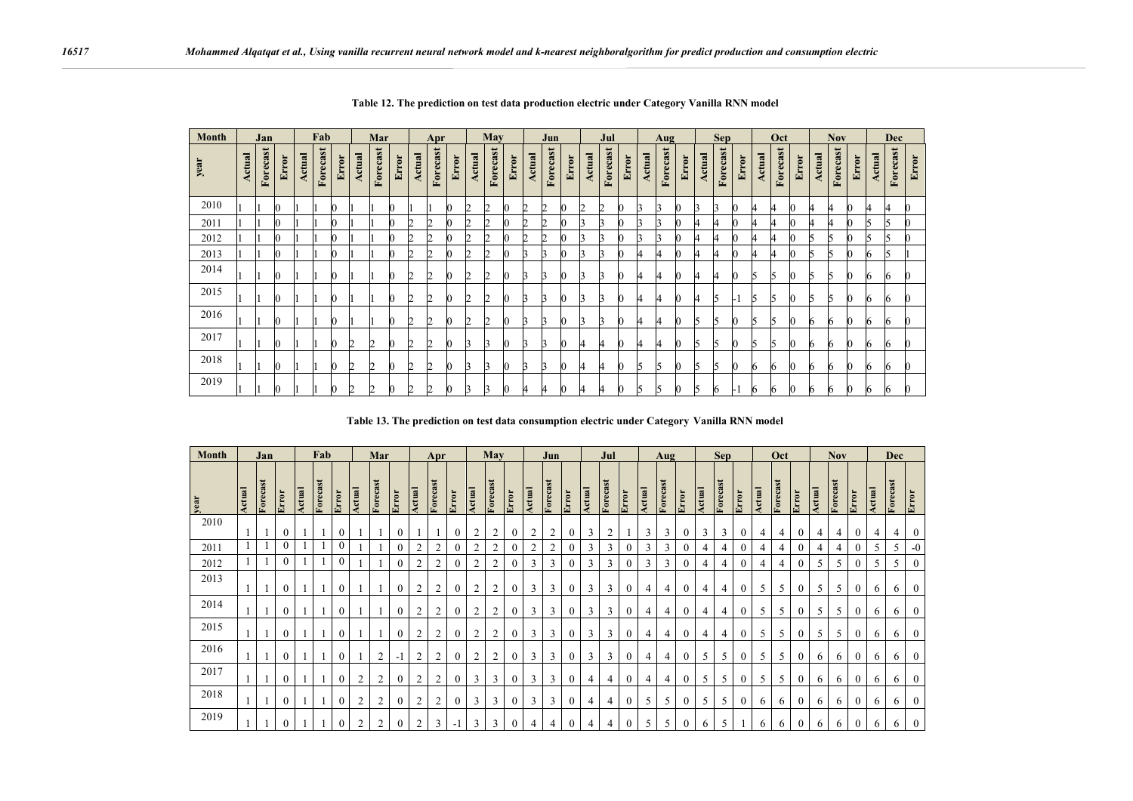| Month | Jan           |          |       | Fab           |          |       | Mar           |          |       | Apr           |          | May          |               |          | Jun   |               | Jul      |       | Aug           |          | <b>Sep</b> |        |          | Oct   |        |          | <b>Nov</b> |               |          | <b>Dec</b> |               |          |       |               |          |       |
|-------|---------------|----------|-------|---------------|----------|-------|---------------|----------|-------|---------------|----------|--------------|---------------|----------|-------|---------------|----------|-------|---------------|----------|------------|--------|----------|-------|--------|----------|------------|---------------|----------|------------|---------------|----------|-------|---------------|----------|-------|
| year  | <b>Actual</b> | Forecast | Error | <b>Actual</b> | Forecast | Error | <b>Actual</b> | Forecast | Error | <b>Actual</b> | Forecast | Error        | <b>Actual</b> | Forecast | Error | <b>Actual</b> | Forecast | Error | <b>Actual</b> | Forecast | Error      | Actual | Forecast | Error | Actual | Forecast | Error      | <b>Actual</b> | Forecast | Error      | <b>Actual</b> | Forecast | Error | <b>Actual</b> | Forecast | Error |
| 2010  |               |          |       |               |          |       |               |          |       |               |          | $\mathbf{0}$ | 2             | Ŋ        |       | 2             | 2        |       | 2             | 2        | Ю          | ĸ      | R        | 0     |        | R        | $\bf{0}$   | 4             |          |            | 4             | 4        |       | 4             | 4        |       |
| 2011  |               |          |       |               |          |       |               |          |       |               |          | K            |               |          |       |               |          |       |               |          |            |        | R        |       |        |          | Ю          | 4             |          |            | 4             |          |       | h             | 5        |       |
| 2012  |               |          |       |               |          |       |               |          |       |               |          | Ю            | n             |          |       |               | n        |       |               |          |            |        | R        |       |        |          | Ю          |               |          |            | h             |          |       |               | К        |       |
| 2013  |               |          |       |               |          |       |               |          |       |               |          | Ю            | n             |          |       |               |          |       |               | R        | Ю          |        | 4        | n     |        |          | Ю          | 4             |          |            | ĸ             |          |       | h             | ĸ        |       |
| 2014  |               |          |       |               |          |       |               |          |       |               |          | Ю.           | n             |          |       |               |          |       |               | R        |            |        | 4        | n     |        |          | Ю          | h             | I٦       |            | ĸ             |          |       | h             | 6        |       |
| 2015  |               |          |       |               |          |       |               |          |       |               |          | -6           | n             |          |       | ı             |          |       |               |          | Ю          |        | 4        | K)    |        | 5        | ы          | C.            | r        |            | ĸ             |          |       | n             | 6        |       |
| 2016  |               |          |       |               |          |       |               |          |       |               |          | Ю.           | n             |          |       | R             |          |       |               | ĸ        | Ю          |        | 4        | 0     | h      |          | Ю          | h             | ı,       |            |               | h.       |       | h             | 6        |       |
| 2017  |               |          |       |               |          |       |               | ◠        |       |               |          | $\bf{0}$     | ĸ             |          |       |               |          |       | 4             | 4        | Ю          |        | 4        | C     | h      |          | Ю          | I٦            | r        |            |               | n.       |       | h             | 6        |       |
| 2018  |               |          |       |               |          |       |               |          |       |               |          | Ю.           |               |          |       |               |          |       | 4             | 14       | Ю          | רו     | l5       | C     | h      |          | Ю          | 6             | 6        |            |               | h        |       | 6             | 6        | K     |
| 2019  |               |          |       |               |          |       |               |          |       |               |          |              |               |          |       |               |          |       |               |          |            |        | ĸ        |       |        |          |            | ь             |          |            |               | n        |       |               | 6        |       |

**Table 12. The prediction on test data production electric under Category Vanilla RNN model**

**Table 13. The prediction on test data consumption electric under Category Vanilla RNN model**

| <b>Month</b> | Jan    |          | Fab          |        |          | Mar            |                | Apr            |              | May            |                | Jun              |                    | Jul            |       | Aug            |                |              | <b>Sep</b> |                |                  | Oct    |          |              |                | <b>Nov</b>                         |                  |        | <b>Dec</b> |                |        |               |                  |        |          |                |
|--------------|--------|----------|--------------|--------|----------|----------------|----------------|----------------|--------------|----------------|----------------|------------------|--------------------|----------------|-------|----------------|----------------|--------------|------------|----------------|------------------|--------|----------|--------------|----------------|------------------------------------|------------------|--------|------------|----------------|--------|---------------|------------------|--------|----------|----------------|
| year         | Actual | Forecast | Error        | Actual | Forecast | Error          | Actual         | Forecast       | Error        | Actual         | Forecast       | Error            | <b>Actual</b>      | Forecast       | Error | Actual         | Forecast       | Error        | Actual     | Forecast       | Error            | Actual | Forecast | Error        | Actual         | $\overline{\mathbf{s}}$<br>Forecas | Error            | Actual | Forecast   | Error          | Actual | 51<br>Forecas | Error            | Actual | Forecast | Error          |
| 2010         |        |          | $\mathbf{0}$ |        |          | $\mathbf{0}$   |                |                | $\mathbf{0}$ |                |                | $\boldsymbol{0}$ | $\overline{2}$     | $\overline{2}$ |       | $\overline{2}$ | $\overline{2}$ | $\mathbf{0}$ | 3          | $\overline{2}$ |                  | 3      | 3        | $\mathbf{0}$ | 3              | 3                                  | $\mathbf{0}$     | 4      | 4          | $\overline{0}$ | 4      | 4             | $\mathbf{0}$     | 4      | 4        | $\mathbf{0}$   |
| 2011         |        |          | $\theta$     |        |          | $\mathbf{0}$   |                |                | $\theta$     | $\overline{2}$ | 2              | $\theta$         | $\mathcal{L}$<br>∠ | $\overline{2}$ |       | C              | $\overline{2}$ | $\theta$     | 3          | 3              |                  | 3      | 3        | $\theta$     | 4              | 4                                  |                  | 4      | 4          |                | 4      | 4             | $\Omega$         | 5      | 5        | $-0$           |
| 2012         |        |          | $\theta$     |        |          | $\mathbf{0}$   |                |                | $\mathbf{0}$ | $\overline{2}$ | $\overline{2}$ | $\boldsymbol{0}$ | $\overline{2}$     | $\overline{2}$ |       | 3              | 3              | $\mathbf{0}$ | 3          | 3              |                  | 3      | 3        | $\theta$     | 4              | 4                                  |                  | 4      | 4          |                |        | 5             | $\boldsymbol{0}$ | 5      | 5        | $\mathbf{0}$   |
| 2013         |        |          | $\mathbf{0}$ |        |          | $\mathbf{0}$   |                |                | $\mathbf{0}$ | $\overline{2}$ | 2              | $\boldsymbol{0}$ | $\overline{2}$     | $\overline{2}$ |       | 3              | 3              | $\mathbf{0}$ | 3          | 3              |                  | 4      | 4        | $\mathbf{0}$ | 4              | 4                                  | $\boldsymbol{0}$ | 5      | 5          | $\overline{0}$ | 5      | 5             | $\mathbf{0}$     | 6      | 6        | $\mathbf{0}$   |
| 2014         |        |          | $\mathbf{0}$ |        |          | $\mathbf{0}$   |                |                | $\mathbf{0}$ | $\overline{2}$ | 2              | $\boldsymbol{0}$ | $\overline{2}$     | $\overline{2}$ |       | 3              | 3              | $\mathbf{0}$ | 3          | 3              | $\boldsymbol{0}$ | 4      | 4        | $\mathbf{0}$ | $\overline{4}$ | 4                                  | $\mathbf{0}$     | 5      | 5          | $\theta$       | 5      | 5             | $\mathbf{0}$     | 6      | 6        | $\mathbf{0}$   |
| 2015         |        |          | $\mathbf{0}$ |        |          | $\mathbf{0}$   |                |                | $\mathbf{0}$ | $\overline{c}$ | 2              | $\mathbf{0}$     | 2                  | $\overline{2}$ |       | 3              | 3              | $\mathbf{0}$ | 3          | 3              | $\mathbf{0}$     | 4      | 4        | $\mathbf{0}$ | $\overline{4}$ | 4                                  | $\mathbf{0}$     | 5      | 5          | $\theta$       | 5      | 5             | $\mathbf{0}$     | 6      | 6        | $\mathbf{0}$   |
| 2016         |        |          | $\mathbf{0}$ |        |          | $\overline{0}$ |                | 2              | $-1$         | $\overline{c}$ | 2              | $\mathbf{0}$     | $\overline{2}$     | $\overline{2}$ |       | 3              | 3              | $\mathbf{0}$ | 3          | 3              | $\mathbf{0}$     | 4      | 4        | $\mathbf{0}$ | 5              | 5                                  | $\mathbf{0}$     | 5      | 5          | $\theta$       | 6      | 6             | $\mathbf{0}$     | 6      | 6        | $\mathbf{0}$   |
| 2017         |        |          | $\mathbf{0}$ |        |          | $\overline{0}$ | $\overline{2}$ | $\overline{c}$ | $\mathbf{0}$ | $\overline{c}$ | 2              | $\mathbf{0}$     | 3                  | 3              |       | 3              | 3              | $\mathbf{0}$ | 4          | $\overline{4}$ | $\boldsymbol{0}$ | 4      | 4        | $\mathbf{0}$ | 5              | 5                                  | $\mathbf{0}$     | 5      | 5          | $\overline{0}$ | 6      | 6             | $\mathbf{0}$     | 6      | 6        | $\bf{0}$       |
| 2018         |        |          | $\mathbf{0}$ |        |          | $\mathbf{0}$   | $\overline{2}$ | 2              | $\mathbf{0}$ | 2              | 2              | $\boldsymbol{0}$ | 3                  | 3              |       | 3              | 3              | $\mathbf{0}$ | 4          | 4              | $\boldsymbol{0}$ | 5      | 5        | $\mathbf{0}$ | 5              | 5                                  | $\mathbf{0}$     | 6      | 6          | $\overline{0}$ | 6      | 6             | $\mathbf{0}$     | 6      | 6        | $\overline{0}$ |
| 2019         |        |          | $\mathbf{0}$ |        |          | $\mathbf{0}$   | $\overline{c}$ | 2              | $\mathbf{0}$ | 2              | 3              | - 1              | 3                  | 3              |       | 4              | 4              | $\mathbf{0}$ | 4          | 4              | $\theta$         | 5      | 5        | $\theta$     | 6              | $\overline{\phantom{0}}$           |                  | 6      | 6          | 0              | 6      | 6             | $\Omega$         | 6      | 6        | $\theta$       |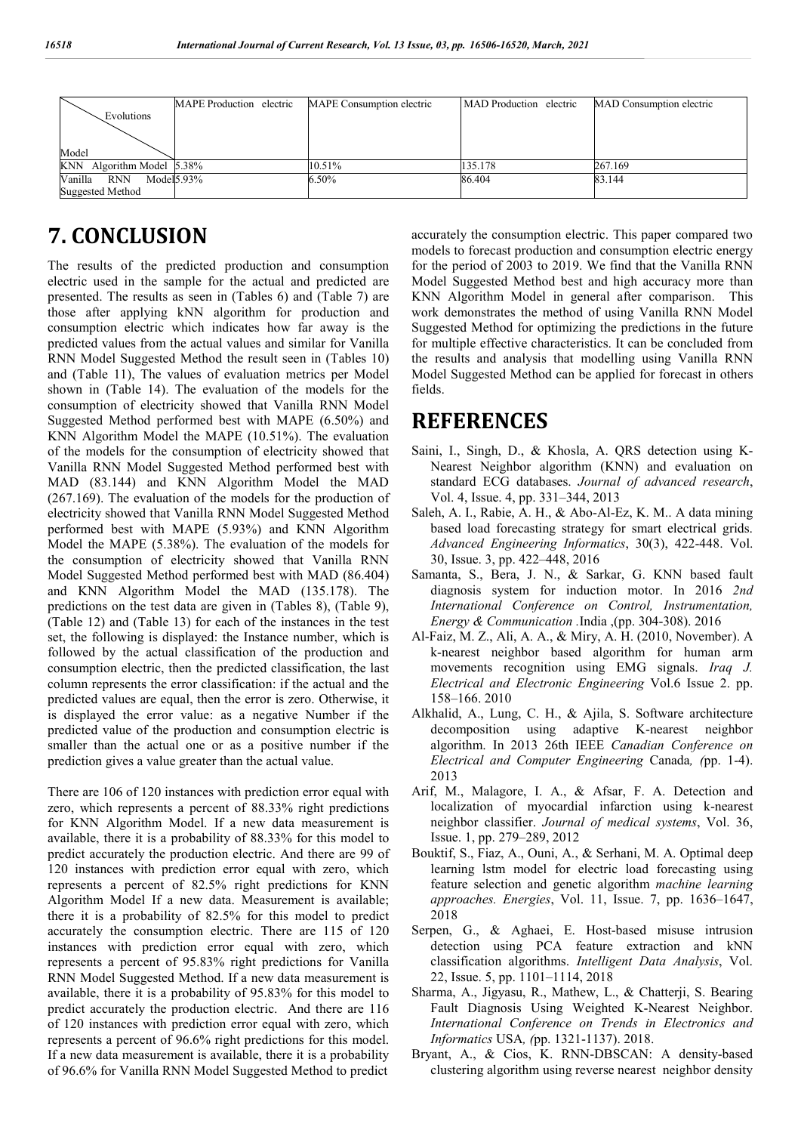|                           | MAPE Production electric | MAPE Consumption electric | MAD Production electric | MAD Consumption electric |
|---------------------------|--------------------------|---------------------------|-------------------------|--------------------------|
| Evolutions                |                          |                           |                         |                          |
|                           |                          |                           |                         |                          |
| Model                     |                          |                           |                         |                          |
|                           |                          | 10.51%                    |                         | 267.169                  |
| KNN Algorithm Model 5.38% |                          |                           | 135.178                 |                          |
| Vanilla RNN Model 5.93%   |                          | 6.50%                     | 86.404                  | 83.144                   |
| <b>Suggested Method</b>   |                          |                           |                         |                          |

# **7. CONCLUSION**

The results of the predicted production and consumption electric used in the sample for the actual and predicted are presented. The results as seen in (Tables 6) and (Table 7) are those after applying kNN algorithm for production and consumption electric which indicates how far away is the predicted values from the actual values and similar for Vanilla RNN Model Suggested Method the result seen in (Tables 10) and (Table 11), The values of evaluation metrics per Model shown in (Table 14). The evaluation of the models for the consumption of electricity showed that Vanilla RNN Model Suggested Method performed best with MAPE (6.50%) and KNN Algorithm Model the MAPE (10.51%). The evaluation of the models for the consumption of electricity showed that Vanilla RNN Model Suggested Method performed best with MAD (83.144) and KNN Algorithm Model the MAD (267.169). The evaluation of the models for the production of electricity showed that Vanilla RNN Model Suggested Method performed best with MAPE (5.93%) and KNN Algorithm Model the MAPE (5.38%). The evaluation of the models for the consumption of electricity showed that Vanilla RNN Model Suggested Method performed best with MAD (86.404) and KNN Algorithm Model the MAD (135.178). The predictions on the test data are given in (Tables 8), (Table 9), (Table 12) and (Table 13) for each of the instances in the test set, the following is displayed: the Instance number, which is followed by the actual classification of the production and consumption electric, then the predicted classification, the last column represents the error classification: if the actual and the predicted values are equal, then the error is zero. Otherwise, it is displayed the error value: as a negative Number if the predicted value of the production and consumption electric is smaller than the actual one or as a positive number if the prediction gives a value greater than the actual value.

There are 106 of 120 instances with prediction error equal with zero, which represents a percent of 88.33% right predictions for KNN Algorithm Model. If a new data measurement is available, there it is a probability of 88.33% for this model to predict accurately the production electric. And there are 99 of 120 instances with prediction error equal with zero, which represents a percent of 82.5% right predictions for KNN Algorithm Model If a new data. Measurement is available; there it is a probability of 82.5% for this model to predict accurately the consumption electric. There are 115 of 120 instances with prediction error equal with zero, which represents a percent of 95.83% right predictions for Vanilla RNN Model Suggested Method. If a new data measurement is available, there it is a probability of 95.83% for this model to predict accurately the production electric. And there are 116 of 120 instances with prediction error equal with zero, which represents a percent of 96.6% right predictions for this model. If a new data measurement is available, there it is a probability of 96.6% for Vanilla RNN Model Suggested Method to predict

accurately the consumption electric. This paper compared two models to forecast production and consumption electric energy for the period of 2003 to 2019. We find that the Vanilla RNN Model Suggested Method best and high accuracy more than KNN Algorithm Model in general after comparison. This work demonstrates the method of using Vanilla RNN Model Suggested Method for optimizing the predictions in the future for multiple effective characteristics. It can be concluded from the results and analysis that modelling using Vanilla RNN Model Suggested Method can be applied for forecast in others fields.

### **REFERENCES**

- Saini, I., Singh, D., & Khosla, A. QRS detection using K-Nearest Neighbor algorithm (KNN) and evaluation on standard ECG databases. *Journal of advanced research*, Vol. 4, Issue. 4, pp. 331–344, 2013
- Saleh, A. I., Rabie, A. H., & Abo-Al-Ez, K. M.. A data mining based load forecasting strategy for smart electrical grids. *Advanced Engineering Informatics*, 30(3), 422-448. Vol. 30, Issue. 3, pp. 422–448, 2016
- Samanta, S., Bera, J. N., & Sarkar, G. KNN based fault diagnosis system for induction motor. In 2016 *2nd International Conference on Control, Instrumentation, Energy & Communication .*India ,(pp. 304-308). 2016
- Al-Faiz, M. Z., Ali, A. A., & Miry, A. H. (2010, November). A k-nearest neighbor based algorithm for human arm movements recognition using EMG signals. *Iraq J. Electrical and Electronic Engineering* Vol.6 Issue 2. pp. 158–166. 2010
- Alkhalid, A., Lung, C. H., & Ajila, S. Software architecture decomposition using adaptive K-nearest neighbor algorithm. In 2013 26th IEEE *Canadian Conference on Electrical and Computer Engineering* Canada*, (*pp. 1-4). 2013
- Arif, M., Malagore, I. A., & Afsar, F. A. Detection and localization of myocardial infarction using k-nearest neighbor classifier. *Journal of medical systems*, Vol. 36, Issue. 1, pp. 279–289, 2012
- Bouktif, S., Fiaz, A., Ouni, A., & Serhani, M. A. Optimal deep learning lstm model for electric load forecasting using feature selection and genetic algorithm *machine learning approaches. Energies*, Vol. 11, Issue. 7, pp. 1636–1647, 2018
- Serpen, G., & Aghaei, E. Host-based misuse intrusion detection using PCA feature extraction and kNN classification algorithms. *Intelligent Data Analysis*, Vol. 22, Issue. 5, pp. 1101–1114, 2018
- Sharma, A., Jigyasu, R., Mathew, L., & Chatterji, S. Bearing Fault Diagnosis Using Weighted K-Nearest Neighbor. *International Conference on Trends in Electronics and Informatics* USA*, (*pp. 1321-1137). 2018.
- Bryant, A., & Cios, K. RNN-DBSCAN: A density-based clustering algorithm using reverse nearest neighbor density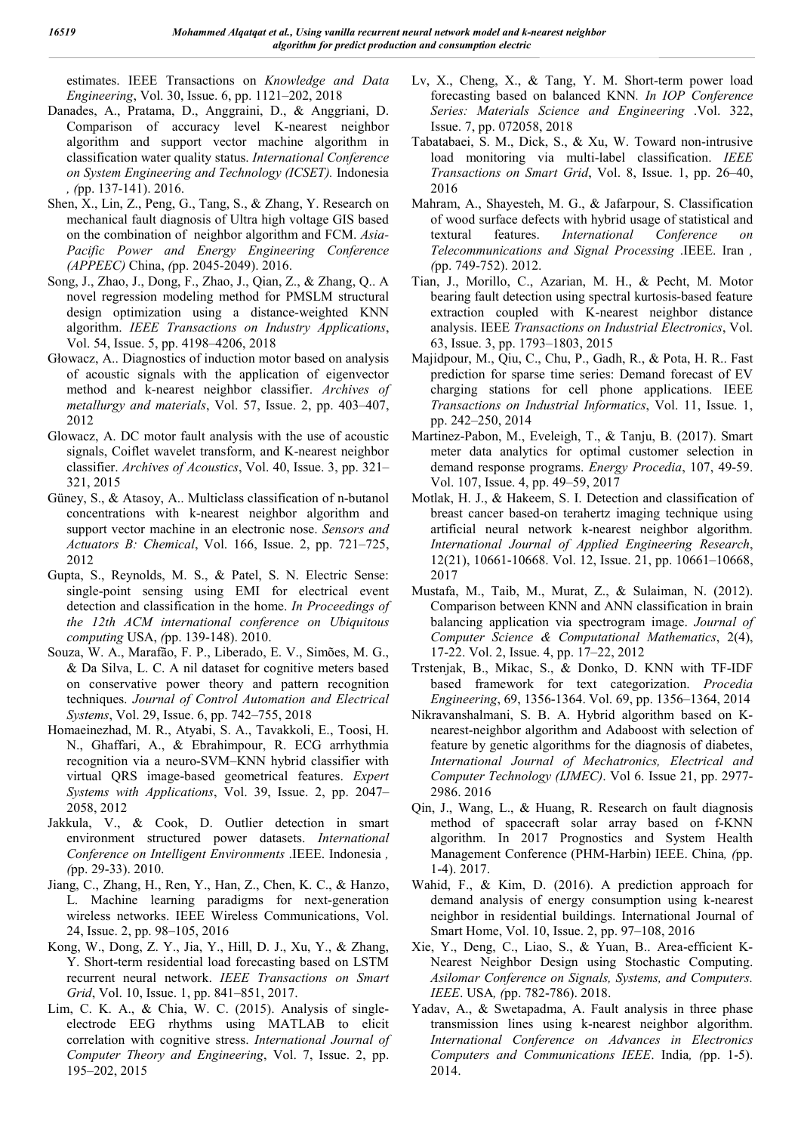estimates. IEEE Transactions on *Knowledge and Data Engineering*, Vol. 30, Issue. 6, pp. 1121–202, 2018

- Danades, A., Pratama, D., Anggraini, D., & Anggriani, D. Comparison of accuracy level K-nearest neighbor algorithm and support vector machine algorithm in classification water quality status. *International Conference on System Engineering and Technology (ICSET).* Indonesia *, (*pp. 137-141). 2016.
- Shen, X., Lin, Z., Peng, G., Tang, S., & Zhang, Y. Research on mechanical fault diagnosis of Ultra high voltage GIS based on the combination of neighbor algorithm and FCM. *Asia-Pacific Power and Energy Engineering Conference (APPEEC)* China, *(*pp. 2045-2049). 2016.
- Song, J., Zhao, J., Dong, F., Zhao, J., Qian, Z., & Zhang, Q.. A novel regression modeling method for PMSLM structural design optimization using a distance-weighted KNN algorithm. *IEEE Transactions on Industry Applications*, Vol. 54, Issue. 5, pp. 4198–4206, 2018
- Głowacz, A.. Diagnostics of induction motor based on analysis of acoustic signals with the application of eigenvector method and k-nearest neighbor classifier. *Archives of metallurgy and materials*, Vol. 57, Issue. 2, pp. 403–407, 2012
- Glowacz, A. DC motor fault analysis with the use of acoustic signals, Coiflet wavelet transform, and K-nearest neighbor classifier. *Archives of Acoustics*, Vol. 40, Issue. 3, pp. 321– 321, 2015
- Güney, S., & Atasoy, A.. Multiclass classification of n-butanol concentrations with k-nearest neighbor algorithm and support vector machine in an electronic nose. *Sensors and Actuators B: Chemical*, Vol. 166, Issue. 2, pp. 721–725, 2012
- Gupta, S., Reynolds, M. S., & Patel, S. N. Electric Sense: single-point sensing using EMI for electrical event detection and classification in the home. *In Proceedings of the 12th ACM international conference on Ubiquitous computing* USA, *(*pp. 139-148). 2010.
- Souza, W. A., Marafão, F. P., Liberado, E. V., Simões, M. G., & Da Silva, L. C. A nil dataset for cognitive meters based on conservative power theory and pattern recognition techniques. *Journal of Control Automation and Electrical Systems*, Vol. 29, Issue. 6, pp. 742–755, 2018
- Homaeinezhad, M. R., Atyabi, S. A., Tavakkoli, E., Toosi, H. N., Ghaffari, A., & Ebrahimpour, R. ECG arrhythmia recognition via a neuro-SVM–KNN hybrid classifier with virtual QRS image-based geometrical features. *Expert Systems with Applications*, Vol. 39, Issue. 2, pp. 2047– 2058, 2012
- Jakkula, V., & Cook, D. Outlier detection in smart environment structured power datasets. *International Conference on Intelligent Environments* .IEEE. Indonesia *, (*pp. 29-33). 2010.
- Jiang, C., Zhang, H., Ren, Y., Han, Z., Chen, K. C., & Hanzo, L. Machine learning paradigms for next-generation wireless networks. IEEE Wireless Communications, Vol. 24, Issue. 2, pp. 98–105, 2016
- Kong, W., Dong, Z. Y., Jia, Y., Hill, D. J., Xu, Y., & Zhang, Y. Short-term residential load forecasting based on LSTM recurrent neural network. *IEEE Transactions on Smart Grid*, Vol. 10, Issue. 1, pp. 841–851, 2017.
- Lim, C. K. A., & Chia, W. C. (2015). Analysis of singleelectrode EEG rhythms using MATLAB to elicit correlation with cognitive stress. *International Journal of Computer Theory and Engineering*, Vol. 7, Issue. 2, pp. 195–202, 2015
- Lv, X., Cheng, X., & Tang, Y. M. Short-term power load forecasting based on balanced KNN*. In IOP Conference Series: Materials Science and Engineering* .Vol. 322, Issue. 7, pp. 072058, 2018
- Tabatabaei, S. M., Dick, S., & Xu, W. Toward non-intrusive load monitoring via multi-label classification. *IEEE Transactions on Smart Grid*, Vol. 8, Issue. 1, pp. 26–40, 2016
- Mahram, A., Shayesteh, M. G., & Jafarpour, S. Classification of wood surface defects with hybrid usage of statistical and textural features. *International Conference on Telecommunications and Signal Processing* .IEEE. Iran *, (*pp. 749-752). 2012.
- Tian, J., Morillo, C., Azarian, M. H., & Pecht, M. Motor bearing fault detection using spectral kurtosis-based feature extraction coupled with K-nearest neighbor distance analysis. IEEE *Transactions on Industrial Electronics*, Vol. 63, Issue. 3, pp. 1793–1803, 2015
- Majidpour, M., Qiu, C., Chu, P., Gadh, R., & Pota, H. R.. Fast prediction for sparse time series: Demand forecast of EV charging stations for cell phone applications. IEEE *Transactions on Industrial Informatics*, Vol. 11, Issue. 1, pp. 242–250, 2014
- Martinez-Pabon, M., Eveleigh, T., & Tanju, B. (2017). Smart meter data analytics for optimal customer selection in demand response programs. *Energy Procedia*, 107, 49-59. Vol. 107, Issue. 4, pp. 49–59, 2017
- Motlak, H. J., & Hakeem, S. I. Detection and classification of breast cancer based-on terahertz imaging technique using artificial neural network k-nearest neighbor algorithm. *International Journal of Applied Engineering Research*, 12(21), 10661-10668. Vol. 12, Issue. 21, pp. 10661–10668, 2017
- Mustafa, M., Taib, M., Murat, Z., & Sulaiman, N. (2012). Comparison between KNN and ANN classification in brain balancing application via spectrogram image. *Journal of Computer Science & Computational Mathematics*, 2(4), 17-22. Vol. 2, Issue. 4, pp. 17–22, 2012
- Trstenjak, B., Mikac, S., & Donko, D. KNN with TF-IDF based framework for text categorization. *Procedia Engineering*, 69, 1356-1364. Vol. 69, pp. 1356–1364, 2014
- Nikravanshalmani, S. B. A. Hybrid algorithm based on Knearest-neighbor algorithm and Adaboost with selection of feature by genetic algorithms for the diagnosis of diabetes, *International Journal of Mechatronics, Electrical and Computer Technology (IJMEC)*. Vol 6. Issue 21, pp. 2977- 2986. 2016
- Qin, J., Wang, L., & Huang, R. Research on fault diagnosis method of spacecraft solar array based on f-KNN algorithm. In 2017 Prognostics and System Health Management Conference (PHM-Harbin) IEEE. China*, (*pp. 1-4). 2017.
- Wahid, F., & Kim, D. (2016). A prediction approach for demand analysis of energy consumption using k-nearest neighbor in residential buildings. International Journal of Smart Home, Vol. 10, Issue. 2, pp. 97–108, 2016
- Xie, Y., Deng, C., Liao, S., & Yuan, B.. Area-efficient K-Nearest Neighbor Design using Stochastic Computing. *Asilomar Conference on Signals, Systems, and Computers. IEEE*. USA*, (*pp. 782-786). 2018.
- Yadav, A., & Swetapadma, A. Fault analysis in three phase transmission lines using k-nearest neighbor algorithm. *International Conference on Advances in Electronics Computers and Communications IEEE*. India*, (*pp. 1-5). 2014.